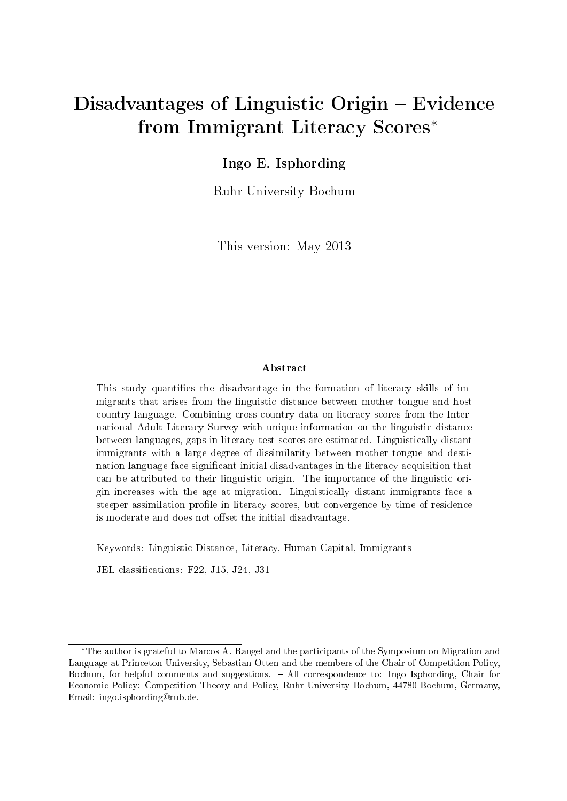# Disadvantages of Linguistic Origin – Evidence from Immigrant Literacy Scores<sup>∗</sup>

#### Ingo E. Isphording

Ruhr University Bochum

This version: May 2013

#### Abstract

This study quantifies the disadvantage in the formation of literacy skills of immigrants that arises from the linguistic distance between mother tongue and host country language. Combining cross-country data on literacy scores from the International Adult Literacy Survey with unique information on the linguistic distance between languages, gaps in literacy test scores are estimated. Linguistically distant immigrants with a large degree of dissimilarity between mother tongue and destination language face significant initial disadvantages in the literacy acquisition that can be attributed to their linguistic origin. The importance of the linguistic origin increases with the age at migration. Linguistically distant immigrants face a steeper assimilation profile in literacy scores, but convergence by time of residence is moderate and does not offset the initial disadvantage.

Keywords: Linguistic Distance, Literacy, Human Capital, Immigrants

JEL classifications: F22, J15, J24, J31

<sup>∗</sup>The author is grateful to Marcos A. Rangel and the participants of the Symposium on Migration and Language at Princeton University, Sebastian Otten and the members of the Chair of Competition Policy, Bochum, for helpful comments and suggestions. All correspondence to: Ingo Isphording, Chair for Economic Policy: Competition Theory and Policy, Ruhr University Bochum, 44780 Bochum, Germany, Email: [ingo.isphording@rub.de.](mailto:ingo.isphording@rub.de)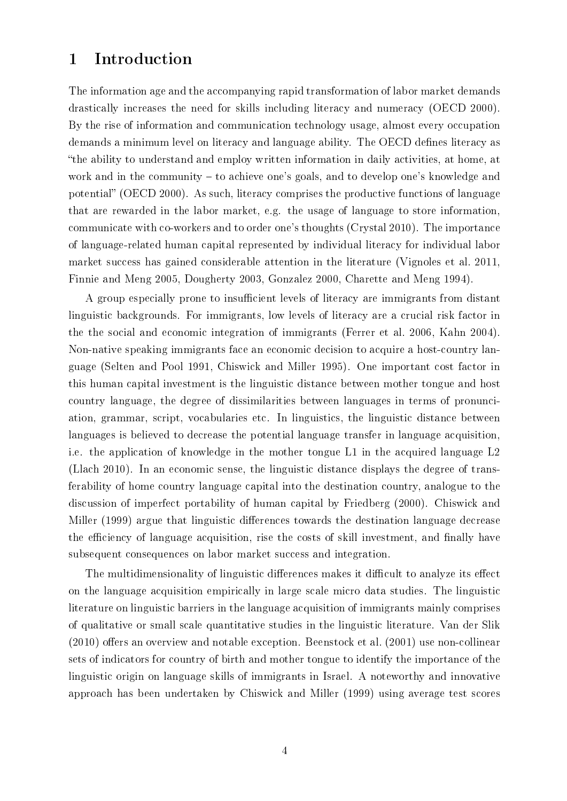### 1 Introduction

The information age and the accompanying rapid transformation of labor market demands drastically increases the need for skills including literacy and numeracy [\(OECD 2000\)](#page-22-0). By the rise of information and communication technology usage, almost every occupation demands a minimum level on literacy and language ability. The OECD defines literacy as the ability to understand and employ written information in daily activities, at home, at work and in the community  $-$  to achieve one's goals, and to develop one's knowledge and potential" [\(OECD 2000\)](#page-22-0). As such, literacy comprises the productive functions of language that are rewarded in the labor market, e.g. the usage of language to store information, communicate with co-workers and to order one's thoughts [\(Crystal 2010\)](#page-21-0). The importance of language-related human capital represented by individual literacy for individual labor market success has gained considerable attention in the literature [\(Vignoles et al. 2011,](#page-23-0) [Finnie and Meng 2005,](#page-21-1) [Dougherty 2003,](#page-21-2) [Gonzalez 2000,](#page-21-3) [Charette and Meng 1994\)](#page-20-0).

A group especially prone to insufficient levels of literacy are immigrants from distant linguistic backgrounds. For immigrants, low levels of literacy are a crucial risk factor in the the social and economic integration of immigrants [\(Ferrer et al. 2006,](#page-21-4) [Kahn 2004\)](#page-22-1). Non-native speaking immigrants face an economic decision to acquire a host-country language [\(Selten and Pool 1991,](#page-22-2) [Chiswick and Miller 1995\)](#page-20-1). One important cost factor in this human capital investment is the linguistic distance between mother tongue and host country language, the degree of dissimilarities between languages in terms of pronunciation, grammar, script, vocabularies etc. In linguistics, the linguistic distance between languages is believed to decrease the potential language transfer in language acquisition, i.e. the application of knowledge in the mother tongue L1 in the acquired language L2 [\(Llach 2010\)](#page-22-3). In an economic sense, the linguistic distance displays the degree of transferability of home country language capital into the destination country, analogue to the discussion of imperfect portability of human capital by [Friedberg](#page-21-5) [\(2000\)](#page-21-5). [Chiswick and](#page-20-2) [Miller](#page-20-2) [\(1999\)](#page-20-2) argue that linguistic differences towards the destination language decrease the efficiency of language acquisition, rise the costs of skill investment, and finally have subsequent consequences on labor market success and integration.

The multidimensionality of linguistic differences makes it difficult to analyze its effect on the language acquisition empirically in large scale micro data studies. The linguistic literature on linguistic barriers in the language acquisition of immigrants mainly comprises of qualitative or small scale quantitative studies in the linguistic literature. [Van der Slik](#page-22-4)  $(2010)$  offers an overview and notable exception. [Beenstock et al.](#page-20-3)  $(2001)$  use non-collinear sets of indicators for country of birth and mother tongue to identify the importance of the linguistic origin on language skills of immigrants in Israel. A noteworthy and innovative approach has been undertaken by [Chiswick and Miller](#page-20-2) [\(1999\)](#page-20-2) using average test scores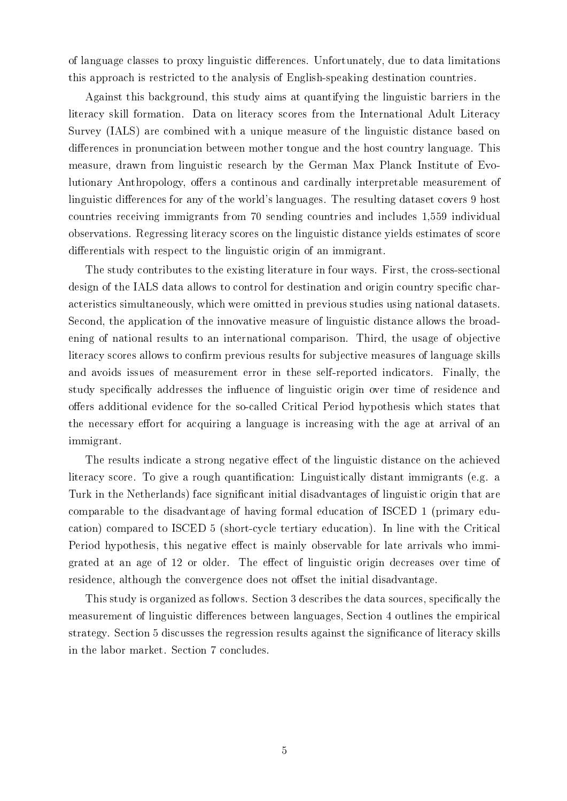of language classes to proxy linguistic dierences. Unfortunately, due to data limitations this approach is restricted to the analysis of English-speaking destination countries.

Against this background, this study aims at quantifying the linguistic barriers in the literacy skill formation. Data on literacy scores from the International Adult Literacy Survey (IALS) are combined with a unique measure of the linguistic distance based on differences in pronunciation between mother tongue and the host country language. This measure, drawn from linguistic research by the German Max Planck Institute of Evolutionary Anthropology, offers a continous and cardinally interpretable measurement of linguistic differences for any of the world's languages. The resulting dataset covers 9 host countries receiving immigrants from 70 sending countries and includes 1,559 individual observations. Regressing literacy scores on the linguistic distance yields estimates of score differentials with respect to the linguistic origin of an immigrant.

The study contributes to the existing literature in four ways. First, the cross-sectional design of the IALS data allows to control for destination and origin country specific characteristics simultaneously, which were omitted in previous studies using national datasets. Second, the application of the innovative measure of linguistic distance allows the broadening of national results to an international comparison. Third, the usage of objective literacy scores allows to confirm previous results for subjective measures of language skills and avoids issues of measurement error in these self-reported indicators. Finally, the study specifically addresses the influence of linguistic origin over time of residence and offers additional evidence for the so-called Critical Period hypothesis which states that the necessary effort for acquiring a language is increasing with the age at arrival of an immigrant.

The results indicate a strong negative effect of the linguistic distance on the achieved literacy score. To give a rough quantification: Linguistically distant immigrants (e.g. a Turk in the Netherlands) face significant initial disadvantages of linguistic origin that are comparable to the disadvantage of having formal education of ISCED 1 (primary education) compared to ISCED 5 (short-cycle tertiary education). In line with the Critical Period hypothesis, this negative effect is mainly observable for late arrivals who immigrated at an age of 12 or older. The effect of linguistic origin decreases over time of residence, although the convergence does not offset the initial disadvantage.

This study is organized as follows. Section [3](#page-3-0) describes the data sources, specifically the measurement of linguistic differences between languages, Section [4](#page-5-0) outlines the empirical strategy. Section [5](#page-6-0) discusses the regression results against the signicance of literacy skills in the labor market. Section [7](#page-10-0) concludes.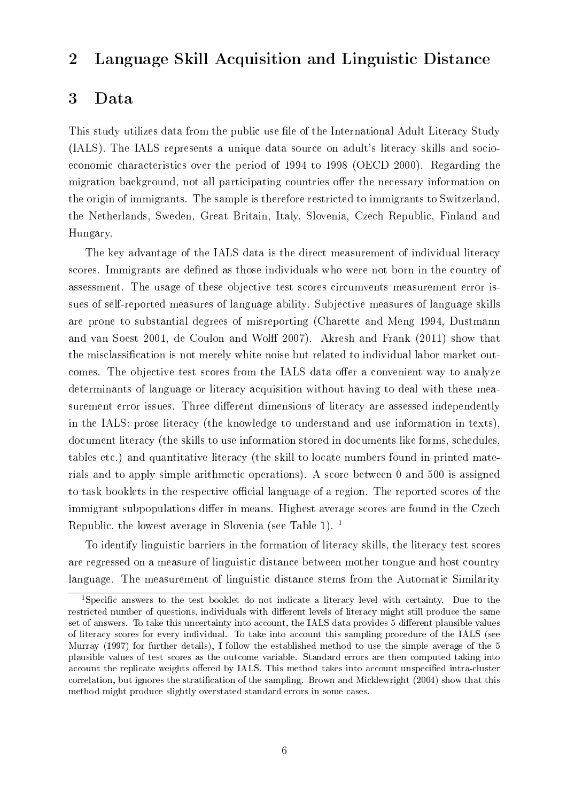# 2 Language Skill Acquisition and Linguistic Distance

#### <span id="page-3-0"></span>3 Data

This study utilizes data from the public use file of the International Adult Literacy Study (IALS). The IALS represents a unique data source on adult's literacy skills and socioeconomic characteristics over the period of 1994 to 1998 [\(OECD 2000\)](#page-22-0). Regarding the migration background, not all participating countries offer the necessary information on the origin of immigrants. The sample is therefore restricted to immigrants to Switzerland, the Netherlands, Sweden, Great Britain, Italy, Slovenia, Czech Republic, Finland and Hungary.

The key advantage of the IALS data is the direct measurement of individual literacy scores. Immigrants are defined as those individuals who were not born in the country of assessment. The usage of these objective test scores circumvents measurement error issues of self-reported measures of language ability. Subjective measures of language skills are prone to substantial degrees of misreporting [\(Charette and Meng 1994,](#page-20-0) [Dustmann](#page-21-6) [and van Soest 2001,](#page-21-6) de Coulon and Wolff 2007). [Akresh and Frank](#page-20-4) [\(2011\)](#page-20-4) show that the misclassification is not merely white noise but related to individual labor market outcomes. The objective test scores from the IALS data offer a convenient way to analyze determinants of language or literacy acquisition without having to deal with these measurement error issues. Three different dimensions of literacy are assessed independently in the IALS: prose literacy (the knowledge to understand and use information in texts), document literacy (the skills to use information stored in documents like forms, schedules, tables etc.) and quantitative literacy (the skill to locate numbers found in printed materials and to apply simple arithmetic operations). A score between 0 and 500 is assigned to task booklets in the respective official language of a region. The reported scores of the immigrant subpopulations differ in means. Highest average scores are found in the Czech Republic, the lowest average in Slovenia (see Table [1\)](#page-13-0). [1](#page-3-1)

To identify linguistic barriers in the formation of literacy skills, the literacy test scores are regressed on a measure of linguistic distance between mother tongue and host country language. The measurement of linguistic distance stems from the Automatic Similarity

<span id="page-3-1"></span><sup>&</sup>lt;sup>1</sup>Specific answers to the test booklet do not indicate a literacy level with certainty. Due to the restricted number of questions, individuals with different levels of literacy might still produce the same set of answers. To take this uncertainty into account, the IALS data provides 5 different plausible values of literacy scores for every individual. To take into account this sampling procedure of the IALS (see [Murray](#page-22-5) [\(1997\)](#page-22-5) for further details), I follow the established method to use the simple average of the 5 plausible values of test scores as the outcome variable. Standard errors are then computed taking into account the replicate weights offered by IALS. This method takes into account unspecified intra-cluster correlation, but ignores the stratication of the sampling. [Brown and Micklewright](#page-20-5) [\(2004\)](#page-20-5) show that this method might produce slightly overstated standard errors in some cases.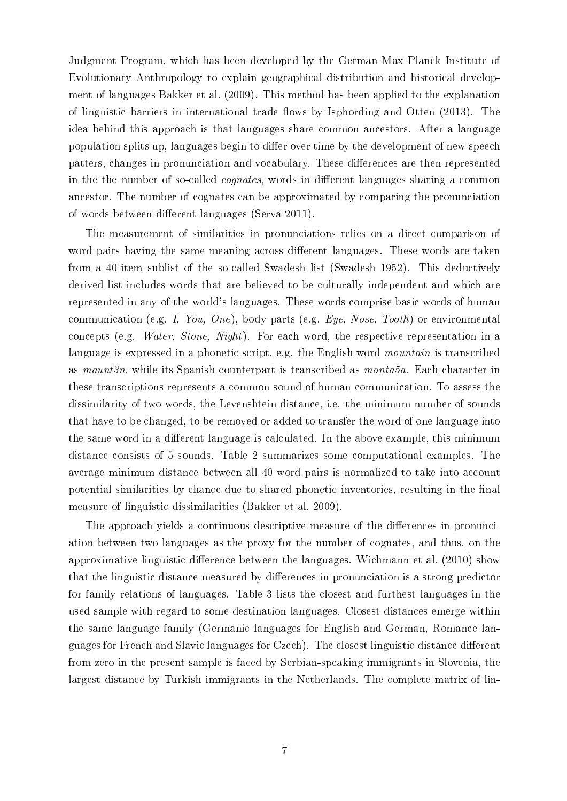Judgment Program, which has been developed by the German Max Planck Institute of Evolutionary Anthropology to explain geographical distribution and historical development of languages [Bakker et al.](#page-20-6) [\(2009\)](#page-20-6). This method has been applied to the explanation of linguistic barriers in international trade flows by [Isphording and Otten](#page-22-6)  $(2013)$ . The idea behind this approach is that languages share common ancestors. After a language population splits up, languages begin to differ over time by the development of new speech patters, changes in pronunciation and vocabulary. These differences are then represented in the the number of so-called *cognates*, words in different languages sharing a common ancestor. The number of cognates can be approximated by comparing the pronunciation of words between different languages [\(Serva 2011\)](#page-22-7).

The measurement of similarities in pronunciations relies on a direct comparison of word pairs having the same meaning across different languages. These words are taken from a 40-item sublist of the so-called Swadesh list [\(Swadesh 1952\)](#page-22-8). This deductively derived list includes words that are believed to be culturally independent and which are represented in any of the world's languages. These words comprise basic words of human communication (e.g. I, You, One), body parts (e.g.  $Eye$ , Nose, Tooth) or environmental concepts (e.g. Water, Stone, Night). For each word, the respective representation in a language is expressed in a phonetic script, e.g. the English word *mountain* is transcribed as maunt3n, while its Spanish counterpart is transcribed as monta5a. Each character in these transcriptions represents a common sound of human communication. To assess the dissimilarity of two words, the Levenshtein distance, i.e. the minimum number of sounds that have to be changed, to be removed or added to transfer the word of one language into the same word in a different language is calculated. In the above example, this minimum distance consists of 5 sounds. Table [2](#page-14-0) summarizes some computational examples. The average minimum distance between all 40 word pairs is normalized to take into account potential similarities by chance due to shared phonetic inventories, resulting in the final measure of linguistic dissimilarities [\(Bakker et al. 2009\)](#page-20-6).

The approach yields a continuous descriptive measure of the differences in pronunciation between two languages as the proxy for the number of cognates, and thus, on the approximative linguistic difference between the languages. [Wichmann et al.](#page-23-1)  $(2010)$  show that the linguistic distance measured by differences in pronunciation is a strong predictor for family relations of languages. Table [3](#page-15-0) lists the closest and furthest languages in the used sample with regard to some destination languages. Closest distances emerge within the same language family (Germanic languages for English and German, Romance languages for French and Slavic languages for Czech). The closest linguistic distance different from zero in the present sample is faced by Serbian-speaking immigrants in Slovenia, the largest distance by Turkish immigrants in the Netherlands. The complete matrix of lin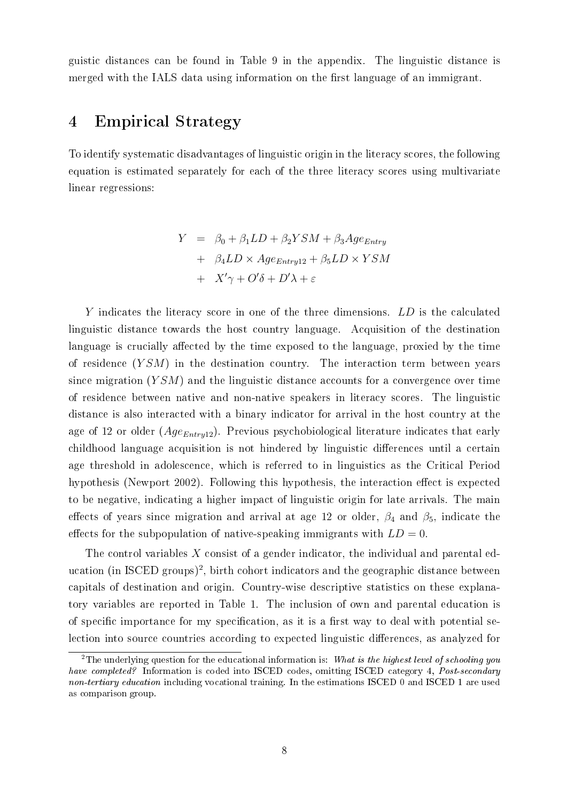guistic distances can be found in Table [9](#page-26-0) in the appendix. The linguistic distance is merged with the IALS data using information on the first language of an immigrant.

### <span id="page-5-0"></span>4 Empirical Strategy

To identify systematic disadvantages of linguistic origin in the literacy scores, the following equation is estimated separately for each of the three literacy scores using multivariate linear regressions:

<span id="page-5-2"></span>
$$
Y = \beta_0 + \beta_1 LD + \beta_2 YSM + \beta_3 Age_{Entry} + \beta_4 LD \times Age_{Entry12} + \beta_5 LD \times YSM + X'\gamma + O'\delta + D'\lambda + \varepsilon
$$

Y indicates the literacy score in one of the three dimensions. LD is the calculated linguistic distance towards the host country language. Acquisition of the destination language is crucially affected by the time exposed to the language, proxied by the time of residence  $(YSM)$  in the destination country. The interaction term between years since migration  $(YSM)$  and the linguistic distance accounts for a convergence over time of residence between native and non-native speakers in literacy scores. The linguistic distance is also interacted with a binary indicator for arrival in the host country at the age of 12 or older  $(Age_{Entry12})$ . Previous psychobiological literature indicates that early childhood language acquisition is not hindered by linguistic differences until a certain age threshold in adolescence, which is referred to in linguistics as the Critical Period hypothesis [\(Newport 2002\)](#page-22-9). Following this hypothesis, the interaction effect is expected to be negative, indicating a higher impact of linguistic origin for late arrivals. The main effects of years since migration and arrival at age 12 or older,  $\beta_4$  and  $\beta_5$ , indicate the effects for the subpopulation of native-speaking immigrants with  $LD = 0$ .

The control variables  $X$  consist of a gender indicator, the individual and parental ed-ucation (in ISCED groups)<sup>[2](#page-5-1)</sup>, birth cohort indicators and the geographic distance between capitals of destination and origin. Country-wise descriptive statistics on these explanatory variables are reported in Table [1.](#page-13-0) The inclusion of own and parental education is of specific importance for my specification, as it is a first way to deal with potential selection into source countries according to expected linguistic differences, as analyzed for

<span id="page-5-1"></span><sup>&</sup>lt;sup>2</sup>The underlying question for the educational information is: What is the highest level of schooling you have completed? Information is coded into ISCED codes, omitting ISCED category 4, Post-secondary non-tertiary education including vocational training. In the estimations ISCED 0 and ISCED 1 are used as comparison group.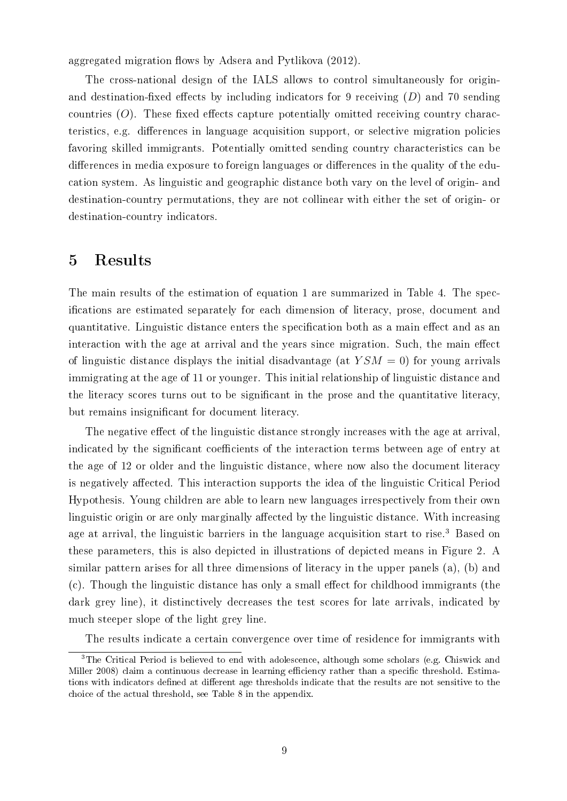aggregated migration flows by [Adsera and Pytlikova](#page-20-7) [\(2012\)](#page-20-7).

The cross-national design of the IALS allows to control simultaneously for originand destination-fixed effects by including indicators for 9 receiving  $(D)$  and 70 sending countries  $(O)$ . These fixed effects capture potentially omitted receiving country characteristics, e.g. differences in language acquisition support, or selective migration policies favoring skilled immigrants. Potentially omitted sending country characteristics can be differences in media exposure to foreign languages or differences in the quality of the education system. As linguistic and geographic distance both vary on the level of origin- and destination-country permutations, they are not collinear with either the set of origin- or destination-country indicators.

#### <span id="page-6-0"></span>5 Results

The main results of the estimation of equation [1](#page-5-2) are summarized in Table [4.](#page-16-0) The specications are estimated separately for each dimension of literacy, prose, document and quantitative. Linguistic distance enters the specification both as a main effect and as an interaction with the age at arrival and the years since migration. Such, the main effect of linguistic distance displays the initial disadvantage (at  $YSM = 0$ ) for young arrivals immigrating at the age of 11 or younger. This initial relationship of linguistic distance and the literacy scores turns out to be signicant in the prose and the quantitative literacy, but remains insignicant for document literacy.

The negative effect of the linguistic distance strongly increases with the age at arrival, indicated by the significant coefficients of the interaction terms between age of entry at the age of 12 or older and the linguistic distance, where now also the document literacy is negatively affected. This interaction supports the idea of the linguistic Critical Period Hypothesis. Young children are able to learn new languages irrespectively from their own linguistic origin or are only marginally affected by the linguistic distance. With increasing age at arrival, the linguistic barriers in the language acquisition start to rise.<sup>[3](#page-6-1)</sup> Based on these parameters, this is also depicted in illustrations of depicted means in Figure [2.](#page-19-0) A similar pattern arises for all three dimensions of literacy in the upper panels (a), (b) and  $(c)$ . Though the linguistic distance has only a small effect for childhood immigrants (the dark grey line), it distinctively decreases the test scores for late arrivals, indicated by much steeper slope of the light grey line.

<span id="page-6-1"></span>The results indicate a certain convergence over time of residence for immigrants with

<sup>&</sup>lt;sup>3</sup>The Critical Period is believed to end with adolescence, although some scholars (e.g. [Chiswick and](#page-20-8) [Miller 2008\)](#page-20-8) claim a continuous decrease in learning efficiency rather than a specific threshold. Estimations with indicators defined at different age thresholds indicate that the results are not sensitive to the choice of the actual threshold, see Table [8](#page-25-0) in the appendix.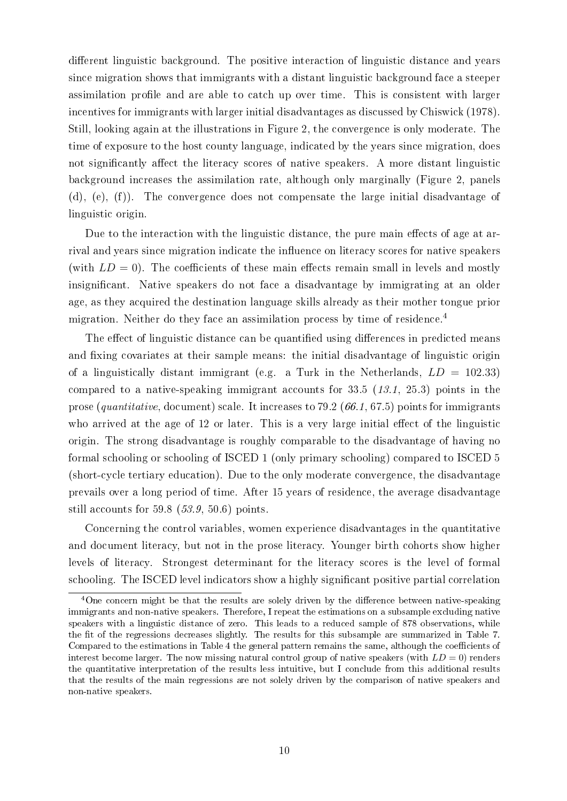different linguistic background. The positive interaction of linguistic distance and years since migration shows that immigrants with a distant linguistic background face a steeper assimilation profile and are able to catch up over time. This is consistent with larger incentives for immigrants with larger initial disadvantages as discussed by [Chiswick](#page-20-9) [\(1978\)](#page-20-9). Still, looking again at the illustrations in Figure [2,](#page-19-0) the convergence is only moderate. The time of exposure to the host county language, indicated by the years since migration, does not significantly affect the literacy scores of native speakers. A more distant linguistic background increases the assimilation rate, although only marginally (Figure [2,](#page-19-0) panels (d), (e), (f)). The convergence does not compensate the large initial disadvantage of linguistic origin.

Due to the interaction with the linguistic distance, the pure main effects of age at arrival and years since migration indicate the influence on literacy scores for native speakers (with  $LD = 0$ ). The coefficients of these main effects remain small in levels and mostly insignicant. Native speakers do not face a disadvantage by immigrating at an older age, as they acquired the destination language skills already as their mother tongue prior migration. Neither do they face an assimilation process by time of residence.<sup>[4](#page-7-0)</sup>

The effect of linguistic distance can be quantified using differences in predicted means and fixing covariates at their sample means: the initial disadvantage of linguistic origin of a linguistically distant immigrant (e.g. a Turk in the Netherlands,  $LD = 102.33$ ) compared to a native-speaking immigrant accounts for 33.5 (13.1, 25.3) points in the prose (quantitative, document) scale. It increases to  $79.2$  (66.1, 67.5) points for immigrants who arrived at the age of  $12$  or later. This is a very large initial effect of the linguistic origin. The strong disadvantage is roughly comparable to the disadvantage of having no formal schooling or schooling of ISCED 1 (only primary schooling) compared to ISCED 5 (short-cycle tertiary education). Due to the only moderate convergence, the disadvantage prevails over a long period of time. After 15 years of residence, the average disadvantage still accounts for 59.8 (53.9, 50.6) points.

Concerning the control variables, women experience disadvantages in the quantitative and document literacy, but not in the prose literacy. Younger birth cohorts show higher levels of literacy. Strongest determinant for the literacy scores is the level of formal schooling. The ISCED level indicators show a highly significant positive partial correlation

<span id="page-7-0"></span> $4$ One concern might be that the results are solely driven by the difference between native-speaking immigrants and non-native speakers. Therefore, I repeat the estimations on a subsample excluding native speakers with a linguistic distance of zero. This leads to a reduced sample of 878 observations, while the fit of the regressions decreases slightly. The results for this subsample are summarized in Table [7.](#page-24-0) Compared to the estimations in Table [4](#page-16-0) the general pattern remains the same, although the coefficients of interest become larger. The now missing natural control group of native speakers (with  $LD = 0$ ) renders the quantitative interpretation of the results less intuitive, but I conclude from this additional results that the results of the main regressions are not solely driven by the comparison of native speakers and non-native speakers.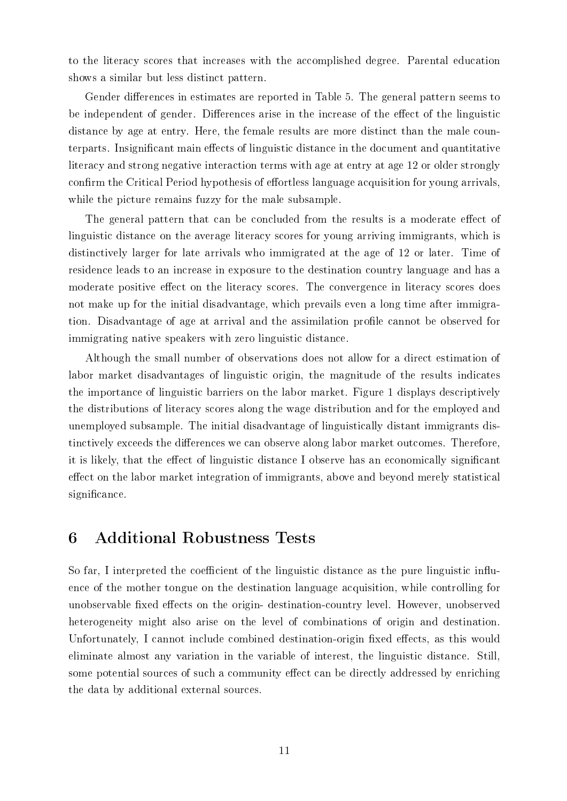to the literacy scores that increases with the accomplished degree. Parental education shows a similar but less distinct pattern.

Gender differences in estimates are reported in Table [5.](#page-17-0) The general pattern seems to be independent of gender. Differences arise in the increase of the effect of the linguistic distance by age at entry. Here, the female results are more distinct than the male counterparts. Insignificant main effects of linguistic distance in the document and quantitative literacy and strong negative interaction terms with age at entry at age 12 or older strongly confirm the Critical Period hypothesis of effortless language acquisition for young arrivals, while the picture remains fuzzy for the male subsample.

The general pattern that can be concluded from the results is a moderate effect of linguistic distance on the average literacy scores for young arriving immigrants, which is distinctively larger for late arrivals who immigrated at the age of 12 or later. Time of residence leads to an increase in exposure to the destination country language and has a moderate positive effect on the literacy scores. The convergence in literacy scores does not make up for the initial disadvantage, which prevails even a long time after immigration. Disadvantage of age at arrival and the assimilation profile cannot be observed for immigrating native speakers with zero linguistic distance.

Although the small number of observations does not allow for a direct estimation of labor market disadvantages of linguistic origin, the magnitude of the results indicates the importance of linguistic barriers on the labor market. Figure [1](#page-12-0) displays descriptively the distributions of literacy scores along the wage distribution and for the employed and unemployed subsample. The initial disadvantage of linguistically distant immigrants distinctively exceeds the differences we can observe along labor market outcomes. Therefore, it is likely, that the effect of linguistic distance I observe has an economically significant effect on the labor market integration of immigrants, above and beyond merely statistical significance.

#### 6 Additional Robustness Tests

So far, I interpreted the coefficient of the linguistic distance as the pure linguistic influence of the mother tongue on the destination language acquisition, while controlling for unobservable fixed effects on the origin-destination-country level. However, unobserved heterogeneity might also arise on the level of combinations of origin and destination. Unfortunately, I cannot include combined destination-origin fixed effects, as this would eliminate almost any variation in the variable of interest, the linguistic distance. Still, some potential sources of such a community effect can be directly addressed by enriching the data by additional external sources.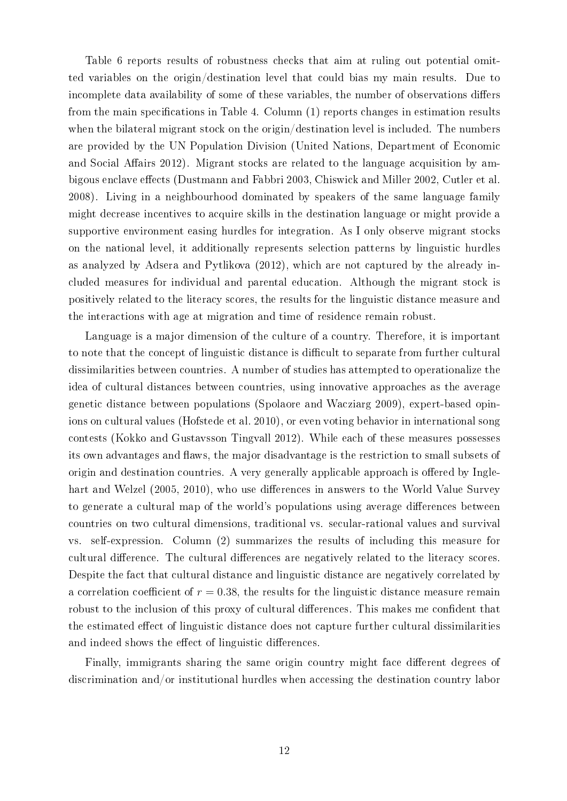Table [6](#page-18-0) reports results of robustness checks that aim at ruling out potential omitted variables on the origin/destination level that could bias my main results. Due to incomplete data availability of some of these variables, the number of observations differs from the main specifications in Table [4.](#page-16-0) Column  $(1)$  reports changes in estimation results when the bilateral migrant stock on the origin/destination level is included. The numbers are provided by the UN Population Division [\(United Nations, Department of Economic](#page-23-2) and Social Affairs 2012). Migrant stocks are related to the language acquisition by am-bigous enclave effects [\(Dustmann and Fabbri 2003,](#page-21-8) [Chiswick and Miller 2002,](#page-20-10) [Cutler et al.](#page-21-9) [2008\)](#page-21-9). Living in a neighbourhood dominated by speakers of the same language family might decrease incentives to acquire skills in the destination language or might provide a supportive environment easing hurdles for integration. As I only observe migrant stocks on the national level, it additionally represents selection patterns by linguistic hurdles as analyzed by [Adsera and Pytlikova](#page-20-7) [\(2012\)](#page-20-7), which are not captured by the already included measures for individual and parental education. Although the migrant stock is positively related to the literacy scores, the results for the linguistic distance measure and the interactions with age at migration and time of residence remain robust.

Language is a major dimension of the culture of a country. Therefore, it is important to note that the concept of linguistic distance is difficult to separate from further cultural dissimilarities between countries. A number of studies has attempted to operationalize the idea of cultural distances between countries, using innovative approaches as the average genetic distance between populations [\(Spolaore and Wacziarg 2009\)](#page-22-10), expert-based opinions on cultural values [\(Hofstede et al. 2010\)](#page-21-10), or even voting behavior in international song contests [\(Kokko and Gustavsson Tingvall 2012\)](#page-22-11). While each of these measures possesses its own advantages and flaws, the major disadvantage is the restriction to small subsets of origin and destination countries. A very generally applicable approach is offered by [Ingle](#page-21-11)[hart and Welzel](#page-21-11) [\(2005,](#page-21-11) [2010\)](#page-22-12), who use differences in answers to the World Value Survey to generate a cultural map of the world's populations using average differences between countries on two cultural dimensions, traditional vs. secular-rational values and survival vs. self-expression. Column (2) summarizes the results of including this measure for cultural difference. The cultural differences are negatively related to the literacy scores. Despite the fact that cultural distance and linguistic distance are negatively correlated by a correlation coefficient of  $r = 0.38$ , the results for the linguistic distance measure remain robust to the inclusion of this proxy of cultural differences. This makes me confident that the estimated effect of linguistic distance does not capture further cultural dissimilarities and indeed shows the effect of linguistic differences.

Finally, immigrants sharing the same origin country might face different degrees of discrimination and/or institutional hurdles when accessing the destination country labor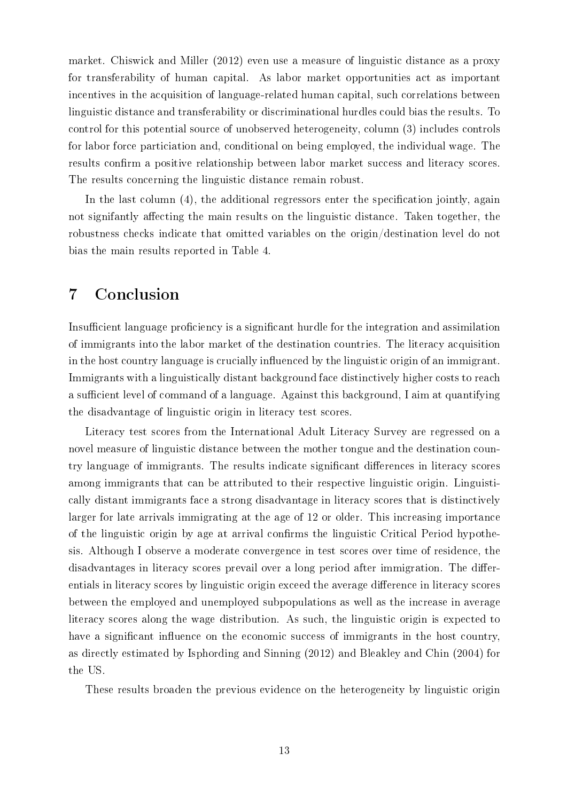market. [Chiswick and Miller](#page-21-12) [\(2012\)](#page-21-12) even use a measure of linguistic distance as a proxy for transferability of human capital. As labor market opportunities act as important incentives in the acquisition of language-related human capital, such correlations between linguistic distance and transferability or discriminational hurdles could bias the results. To control for this potential source of unobserved heterogeneity, column (3) includes controls for labor force particiation and, conditional on being employed, the individual wage. The results confirm a positive relationship between labor market success and literacy scores. The results concerning the linguistic distance remain robust.

In the last column  $(4)$ , the additional regressors enter the specification jointly, again not signifantly affecting the main results on the linguistic distance. Taken together, the robustness checks indicate that omitted variables on the origin/destination level do not bias the main results reported in Table [4.](#page-16-0)

## <span id="page-10-0"></span>7 Conclusion

Insufficient language proficiency is a significant hurdle for the integration and assimilation of immigrants into the labor market of the destination countries. The literacy acquisition in the host country language is crucially influenced by the linguistic origin of an immigrant. Immigrants with a linguistically distant background face distinctively higher costs to reach a sufficient level of command of a language. Against this background, I aim at quantifying the disadvantage of linguistic origin in literacy test scores.

Literacy test scores from the International Adult Literacy Survey are regressed on a novel measure of linguistic distance between the mother tongue and the destination country language of immigrants. The results indicate significant differences in literacy scores among immigrants that can be attributed to their respective linguistic origin. Linguistically distant immigrants face a strong disadvantage in literacy scores that is distinctively larger for late arrivals immigrating at the age of 12 or older. This increasing importance of the linguistic origin by age at arrival confirms the linguistic Critical Period hypothesis. Although I observe a moderate convergence in test scores over time of residence, the disadvantages in literacy scores prevail over a long period after immigration. The differentials in literacy scores by linguistic origin exceed the average difference in literacy scores between the employed and unemployed subpopulations as well as the increase in average literacy scores along the wage distribution. As such, the linguistic origin is expected to have a significant influence on the economic success of immigrants in the host country, as directly estimated by [Isphording and Sinning](#page-22-13) [\(2012\)](#page-22-13) and [Bleakley and Chin](#page-20-11) [\(2004\)](#page-20-11) for the US.

These results broaden the previous evidence on the heterogeneity by linguistic origin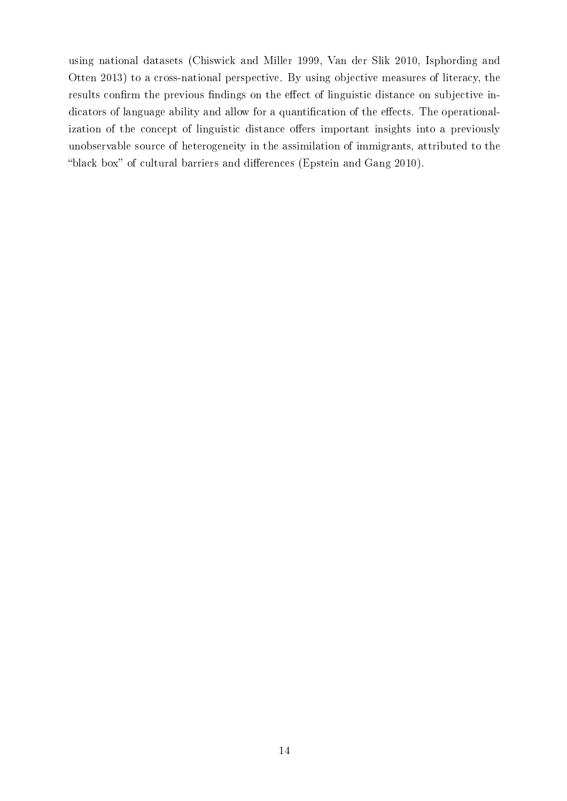using national datasets [\(Chiswick and Miller 1999,](#page-20-2) [Van der Slik 2010,](#page-22-4) [Isphording and](#page-22-6) [Otten 2013\)](#page-22-6) to a cross-national perspective. By using objective measures of literacy, the results confirm the previous findings on the effect of linguistic distance on subjective indicators of language ability and allow for a quantification of the effects. The operationalization of the concept of linguistic distance offers important insights into a previously unobservable source of heterogeneity in the assimilation of immigrants, attributed to the "black box" of cultural barriers and differences [\(Epstein and Gang 2010\)](#page-21-13).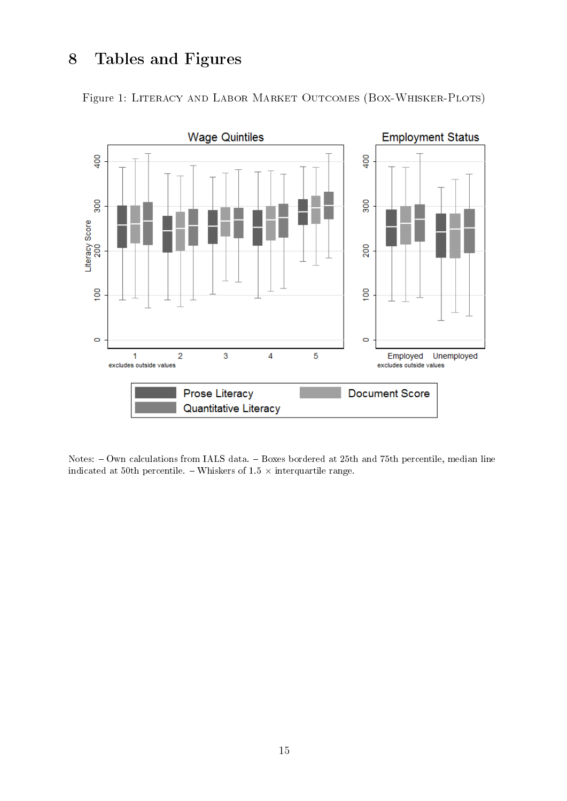# 8 Tables and Figures

Figure 1: Literacy and Labor Market Outcomes (Box-Whisker-Plots)

<span id="page-12-0"></span>

Notes: - Own calculations from IALS data. - Boxes bordered at 25th and 75th percentile, median line indicated at 50th percentile. – Whiskers of 1.5  $\times$  interquartile range.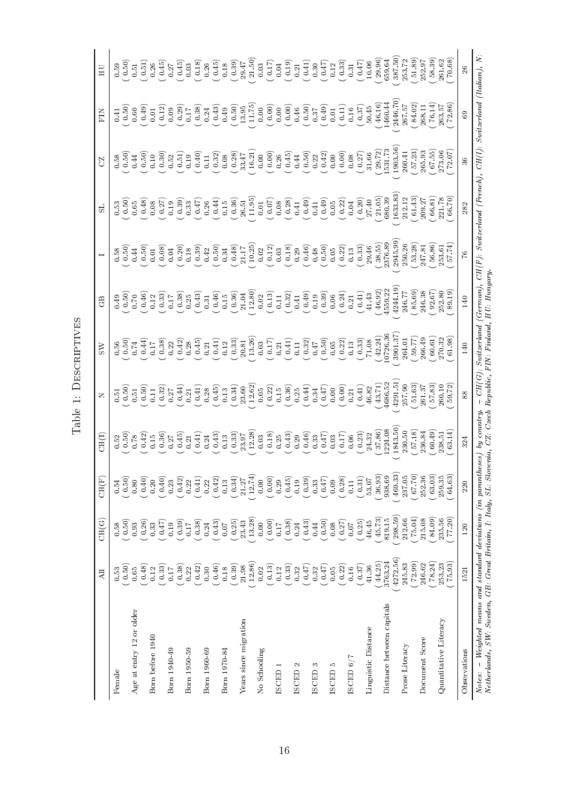|                                                                                                                                 | All                                                              | CH(G)                                                     | CH(F)                                          | CH(I)                                                        | Z     | $\gtrsim$                                                                                                                                                                                                                                                                                                     | GB                                                                                                                                                                                                                                                                                                                                                                                                         |                                                                                    | S.                                                                                                                                                                                                                                                                                                            | S <sub>2</sub>                                                                                                                                                                                                                                                                                       | FIN                                                                                                                                                                                                                                                                                                           | HU                                                                                                                                                                                                                                                                                                                                       |
|---------------------------------------------------------------------------------------------------------------------------------|------------------------------------------------------------------|-----------------------------------------------------------|------------------------------------------------|--------------------------------------------------------------|-------|---------------------------------------------------------------------------------------------------------------------------------------------------------------------------------------------------------------------------------------------------------------------------------------------------------------|------------------------------------------------------------------------------------------------------------------------------------------------------------------------------------------------------------------------------------------------------------------------------------------------------------------------------------------------------------------------------------------------------------|------------------------------------------------------------------------------------|---------------------------------------------------------------------------------------------------------------------------------------------------------------------------------------------------------------------------------------------------------------------------------------------------------------|------------------------------------------------------------------------------------------------------------------------------------------------------------------------------------------------------------------------------------------------------------------------------------------------------|---------------------------------------------------------------------------------------------------------------------------------------------------------------------------------------------------------------------------------------------------------------------------------------------------------------|------------------------------------------------------------------------------------------------------------------------------------------------------------------------------------------------------------------------------------------------------------------------------------------------------------------------------------------|
| Female                                                                                                                          | 0.53                                                             | 0.58                                                      | $0.54\,$                                       | 0.52                                                         |       |                                                                                                                                                                                                                                                                                                               |                                                                                                                                                                                                                                                                                                                                                                                                            |                                                                                    |                                                                                                                                                                                                                                                                                                               |                                                                                                                                                                                                                                                                                                      |                                                                                                                                                                                                                                                                                                               |                                                                                                                                                                                                                                                                                                                                          |
| Age at entry 12 or older                                                                                                        | (0.50)<br>$0.65\,$                                               | $\begin{array}{c} 0.50 \\ 0.93 \end{array}$               | 0.50)<br>0.80                                  | $0.50$<br>0.78                                               |       | $0.56$<br>$0.50$<br>$0.74$                                                                                                                                                                                                                                                                                    |                                                                                                                                                                                                                                                                                                                                                                                                            |                                                                                    | $\begin{array}{c} 0.53 \\ 0.50 \\ 0.65 \end{array}$                                                                                                                                                                                                                                                           | $\begin{array}{c} 0.58 \\ 0.50 \\ 0.44 \end{array}$                                                                                                                                                                                                                                                  | $\frac{0.50}{0.60}$                                                                                                                                                                                                                                                                                           |                                                                                                                                                                                                                                                                                                                                          |
| Born before 1940                                                                                                                | $(8^{+0.0}$<br>0.12                                              | 0.26)<br>0.33                                             | 0.40)<br>0.20                                  |                                                              |       |                                                                                                                                                                                                                                                                                                               |                                                                                                                                                                                                                                                                                                                                                                                                            |                                                                                    |                                                                                                                                                                                                                                                                                                               |                                                                                                                                                                                                                                                                                                      |                                                                                                                                                                                                                                                                                                               |                                                                                                                                                                                                                                                                                                                                          |
|                                                                                                                                 | 0.33)                                                            | (147)                                                     | 0.40)                                          |                                                              |       |                                                                                                                                                                                                                                                                                                               |                                                                                                                                                                                                                                                                                                                                                                                                            |                                                                                    |                                                                                                                                                                                                                                                                                                               |                                                                                                                                                                                                                                                                                                      |                                                                                                                                                                                                                                                                                                               |                                                                                                                                                                                                                                                                                                                                          |
| Born 1940-49                                                                                                                    | 0.17                                                             | (6.39)<br>0.19                                            | (0.42)<br>0.23                                 |                                                              |       |                                                                                                                                                                                                                                                                                                               |                                                                                                                                                                                                                                                                                                                                                                                                            |                                                                                    |                                                                                                                                                                                                                                                                                                               |                                                                                                                                                                                                                                                                                                      |                                                                                                                                                                                                                                                                                                               |                                                                                                                                                                                                                                                                                                                                          |
| Born 1950-59                                                                                                                    | $\begin{array}{c} 0.38 \\ 0.22 \end{array}$                      | 0.17                                                      | 0.22                                           |                                                              |       |                                                                                                                                                                                                                                                                                                               |                                                                                                                                                                                                                                                                                                                                                                                                            |                                                                                    |                                                                                                                                                                                                                                                                                                               |                                                                                                                                                                                                                                                                                                      |                                                                                                                                                                                                                                                                                                               |                                                                                                                                                                                                                                                                                                                                          |
|                                                                                                                                 | (0.42)                                                           | $\frac{0.38}{0.24}$                                       | (0.41)                                         |                                                              |       |                                                                                                                                                                                                                                                                                                               |                                                                                                                                                                                                                                                                                                                                                                                                            |                                                                                    |                                                                                                                                                                                                                                                                                                               |                                                                                                                                                                                                                                                                                                      |                                                                                                                                                                                                                                                                                                               |                                                                                                                                                                                                                                                                                                                                          |
| Born 1960-69                                                                                                                    | 0.30                                                             |                                                           | 0.42)<br>0.22                                  |                                                              |       |                                                                                                                                                                                                                                                                                                               |                                                                                                                                                                                                                                                                                                                                                                                                            |                                                                                    |                                                                                                                                                                                                                                                                                                               |                                                                                                                                                                                                                                                                                                      |                                                                                                                                                                                                                                                                                                               |                                                                                                                                                                                                                                                                                                                                          |
| Born 1970-84                                                                                                                    |                                                                  | (6.43)                                                    | $\overline{0.13}$                              |                                                              |       |                                                                                                                                                                                                                                                                                                               |                                                                                                                                                                                                                                                                                                                                                                                                            |                                                                                    |                                                                                                                                                                                                                                                                                                               |                                                                                                                                                                                                                                                                                                      |                                                                                                                                                                                                                                                                                                               |                                                                                                                                                                                                                                                                                                                                          |
| Years since migration                                                                                                           | $\begin{array}{c} (0.46) \\ 0.18 \\ (0.39) \\ 21.98 \end{array}$ | (1.25)<br>23.43                                           | $\begin{array}{c} (0.34) \\ 21.27 \end{array}$ |                                                              |       | $\begin{array}{l} 0.41 \\ 0.53 \\ 0.63 \\ 0.71 \\ 0.83 \\ 0.42 \\ 0.84 \\ 0.43 \\ 0.45 \\ 0.45 \\ 0.47 \\ 0.47 \\ 0.49 \\ 0.49 \\ 0.41 \\ 0.42 \\ 0.43 \\ 0.45 \\ 0.47 \\ 0.49 \\ 0.47 \\ 0.49 \\ 0.49 \\ 0.40 \\ 0.40 \\ 0.40 \\ 0.40 \\ 0.40 \\ 0.40 \\ 0.40 \\ 0.40 \\ 0.40 \\ 0.40 \\ 0.40 \\ 0.40 \\ 0.$ | $\begin{array}{l} 3.6 \\ 0.6 \\ 0.6 \\ 0.6 \\ \end{array} \begin{array}{l} 6.6 \\ 0.7 \\ 0.7 \\ 0.7 \\ \end{array} \begin{array}{l} 6.6 \\ 0.7 \\ 0.7 \\ 0.7 \\ 0.7 \\ \end{array} \end{array} \begin{array}{l} 6.6 \\ 0.7 \\ 0.7 \\ 0.7 \\ 0.7 \\ \end{array} \begin{array}{l} 6.6 \\ 0.7 \\ 0.7 \\ 0.7 \\ \end{array} \begin{array}{l} 6.6 \\ 0.7 \\ 0.7 \\ 0.7 \\ \end{array} \begin{array}{l} 6.6 \\ $ |                                                                                    | $\begin{array}{l} 0.48 \\ 0.69 \\ 0.61 \\ 0.62 \\ 0.63 \\ 0.64 \\ 0.65 \\ 0.66 \\ 0.67 \\ 0.67 \\ 0.67 \\ 0.67 \\ 0.67 \\ 0.68 \\ 0.69 \\ 0.69 \\ 0.60 \\ 0.60 \\ 0.60 \\ 0.60 \\ 0.60 \\ 0.60 \\ 0.60 \\ 0.60 \\ 0.60 \\ 0.60 \\ 0.60 \\ 0.60 \\ 0.60 \\ 0.60 \\ 0.60 \\ 0.60 \\ 0.60 \\ 0.60 \\ 0.60 \\ 0.$ | $\begin{array}{l} (5.50)\\ (0.30)\\ (0.30)\\ (0.41)\\ (0.52)\\ (0.41)\\ (0.42)\\ (0.43)\\ (0.44)\\ (0.45)\\ (0.45)\\ (0.46)\\ (0.47)\\ (0.48)\\ (0.49)\\ (0.41)\\ (0.42)\\ (0.43)\\ (0.44)\\ (0.45)\\ (0.47)\\ (0.48)\\ (0.49)\\ (0.41)\\ (0.42)\\ (0.43)\\ (0.44)\\ (0.45)\\ (0.47)\\ (0.48)\\ (0.$ | $\begin{array}{l} 0.49 \\ 0.01 \\ 0.02 \\ 0.03 \\ 0.04 \\ 0.05 \\ 0.05 \\ 0.07 \\ 0.07 \\ 0.08 \\ 0.04 \\ 0.05 \\ 0.06 \\ 0.07 \\ 0.07 \\ 0.07 \\ 0.07 \\ 0.07 \\ 0.07 \\ 0.07 \\ 0.07 \\ 0.07 \\ 0.07 \\ 0.07 \\ 0.07 \\ 0.07 \\ 0.07 \\ 0.07 \\ 0.07 \\ 0.07 \\ 0.07 \\ 0.07 \\ 0.07 \\ 0.07 \\ 0.07 \\ 0.$ | $\begin{array}{l} 59 \\[-4.0ex] -0.5 \\[-4.0ex] -0.5 \\[-4.0ex] -0.5 \\[-4.0ex] -0.5 \\[-4.0ex] -0.5 \\[-4.0ex] -0.5 \\[-4.0ex] -0.5 \\[-4.0ex] -0.5 \\[-4.0ex] -0.5 \\[-4.0ex] -0.5 \\[-4.0ex] -0.5 \\[-4.0ex] -0.5 \\[-4.0ex] -0.5 \\[-4.0ex] -0.5 \\[-4.0ex] -0.5 \\[-4.0ex] -0.5 \\[-4.0ex] -0.5 \\[-4.0ex] -0.5 \\[-4.0ex] -0.5 \\$ |
|                                                                                                                                 | 12.86)                                                           | 13.28)                                                    | 12.74)                                         |                                                              |       |                                                                                                                                                                                                                                                                                                               |                                                                                                                                                                                                                                                                                                                                                                                                            |                                                                                    |                                                                                                                                                                                                                                                                                                               |                                                                                                                                                                                                                                                                                                      |                                                                                                                                                                                                                                                                                                               |                                                                                                                                                                                                                                                                                                                                          |
| No Schooling                                                                                                                    | 0.02                                                             | 0.00                                                      | 0.00                                           |                                                              |       |                                                                                                                                                                                                                                                                                                               |                                                                                                                                                                                                                                                                                                                                                                                                            |                                                                                    |                                                                                                                                                                                                                                                                                                               |                                                                                                                                                                                                                                                                                                      |                                                                                                                                                                                                                                                                                                               |                                                                                                                                                                                                                                                                                                                                          |
| <b>ISCED</b>                                                                                                                    | (0.13)                                                           | (0.00)<br>0.17                                            | (0.00)<br>0.29                                 |                                                              |       |                                                                                                                                                                                                                                                                                                               |                                                                                                                                                                                                                                                                                                                                                                                                            |                                                                                    |                                                                                                                                                                                                                                                                                                               |                                                                                                                                                                                                                                                                                                      |                                                                                                                                                                                                                                                                                                               |                                                                                                                                                                                                                                                                                                                                          |
|                                                                                                                                 | (0.33)                                                           |                                                           |                                                |                                                              |       |                                                                                                                                                                                                                                                                                                               |                                                                                                                                                                                                                                                                                                                                                                                                            |                                                                                    |                                                                                                                                                                                                                                                                                                               |                                                                                                                                                                                                                                                                                                      |                                                                                                                                                                                                                                                                                                               |                                                                                                                                                                                                                                                                                                                                          |
| <b>ISCED</b>                                                                                                                    | 0.32                                                             | $\begin{array}{c} \left( 0.38\right) \\ 0.24 \end{array}$ | $(0.45)$<br>0.19                               |                                                              |       |                                                                                                                                                                                                                                                                                                               |                                                                                                                                                                                                                                                                                                                                                                                                            |                                                                                    |                                                                                                                                                                                                                                                                                                               |                                                                                                                                                                                                                                                                                                      |                                                                                                                                                                                                                                                                                                               |                                                                                                                                                                                                                                                                                                                                          |
|                                                                                                                                 | (25.0                                                            | (64.3)                                                    | $\begin{array}{c} 0.39 \\ 0.33 \end{array}$    |                                                              |       |                                                                                                                                                                                                                                                                                                               |                                                                                                                                                                                                                                                                                                                                                                                                            |                                                                                    |                                                                                                                                                                                                                                                                                                               |                                                                                                                                                                                                                                                                                                      |                                                                                                                                                                                                                                                                                                               |                                                                                                                                                                                                                                                                                                                                          |
| S<br><b>ISCED</b>                                                                                                               | 0.32                                                             | 0.44                                                      |                                                |                                                              |       |                                                                                                                                                                                                                                                                                                               |                                                                                                                                                                                                                                                                                                                                                                                                            |                                                                                    |                                                                                                                                                                                                                                                                                                               |                                                                                                                                                                                                                                                                                                      |                                                                                                                                                                                                                                                                                                               |                                                                                                                                                                                                                                                                                                                                          |
| Ю<br><b>ISCED</b>                                                                                                               | (147)<br>0.05                                                    | (0.50)                                                    | 0.47)<br>0.09                                  |                                                              |       |                                                                                                                                                                                                                                                                                                               |                                                                                                                                                                                                                                                                                                                                                                                                            |                                                                                    |                                                                                                                                                                                                                                                                                                               |                                                                                                                                                                                                                                                                                                      |                                                                                                                                                                                                                                                                                                               |                                                                                                                                                                                                                                                                                                                                          |
|                                                                                                                                 | ( 0.22)                                                          |                                                           | (0.28)                                         |                                                              |       |                                                                                                                                                                                                                                                                                                               |                                                                                                                                                                                                                                                                                                                                                                                                            |                                                                                    |                                                                                                                                                                                                                                                                                                               |                                                                                                                                                                                                                                                                                                      |                                                                                                                                                                                                                                                                                                               |                                                                                                                                                                                                                                                                                                                                          |
| ISCED 6/7                                                                                                                       | 0.16                                                             | $\begin{pmatrix} 0.08 \\ 0.27 \end{pmatrix}$              | $\overline{11}$                                |                                                              |       |                                                                                                                                                                                                                                                                                                               |                                                                                                                                                                                                                                                                                                                                                                                                            |                                                                                    |                                                                                                                                                                                                                                                                                                               |                                                                                                                                                                                                                                                                                                      |                                                                                                                                                                                                                                                                                                               |                                                                                                                                                                                                                                                                                                                                          |
|                                                                                                                                 | (0.37)                                                           | (0.25)                                                    | (0.31)                                         |                                                              |       |                                                                                                                                                                                                                                                                                                               |                                                                                                                                                                                                                                                                                                                                                                                                            |                                                                                    |                                                                                                                                                                                                                                                                                                               |                                                                                                                                                                                                                                                                                                      |                                                                                                                                                                                                                                                                                                               |                                                                                                                                                                                                                                                                                                                                          |
| Linguistic Distance                                                                                                             | 44.25)<br>41.36                                                  | 45.73)<br>46.45                                           | 36.93)<br>53.07                                |                                                              |       |                                                                                                                                                                                                                                                                                                               |                                                                                                                                                                                                                                                                                                                                                                                                            |                                                                                    |                                                                                                                                                                                                                                                                                                               |                                                                                                                                                                                                                                                                                                      |                                                                                                                                                                                                                                                                                                               |                                                                                                                                                                                                                                                                                                                                          |
| Distance between capitals                                                                                                       | 3763.24                                                          | 819.15                                                    | 938.69                                         | $\begin{array}{c} (37.86) \\ 1224.08 \\ 1843.50 \end{array}$ |       |                                                                                                                                                                                                                                                                                                               |                                                                                                                                                                                                                                                                                                                                                                                                            | $\frac{(38.55)}{2376.89}$                                                          |                                                                                                                                                                                                                                                                                                               |                                                                                                                                                                                                                                                                                                      | $\begin{array}{c} (46.16) \\ 1460.44 \\ 2446.70) \end{array}$                                                                                                                                                                                                                                                 |                                                                                                                                                                                                                                                                                                                                          |
|                                                                                                                                 | 4272.56)                                                         | 298.59)                                                   | 469.33                                         |                                                              |       |                                                                                                                                                                                                                                                                                                               | 4244.19                                                                                                                                                                                                                                                                                                                                                                                                    | 2945.99                                                                            | $\frac{1633.83}{212.12}$                                                                                                                                                                                                                                                                                      |                                                                                                                                                                                                                                                                                                      |                                                                                                                                                                                                                                                                                                               |                                                                                                                                                                                                                                                                                                                                          |
| Prose Literacy                                                                                                                  | 245.83                                                           | 212.66                                                    | 237.05                                         | 230.50                                                       |       |                                                                                                                                                                                                                                                                                                               | 246.77                                                                                                                                                                                                                                                                                                                                                                                                     | 250.26                                                                             |                                                                                                                                                                                                                                                                                                               |                                                                                                                                                                                                                                                                                                      | $\frac{267.57}{84.02}$                                                                                                                                                                                                                                                                                        |                                                                                                                                                                                                                                                                                                                                          |
|                                                                                                                                 | 72.99)                                                           | 75.04)                                                    | (01.70)                                        | $\binom{57.18}{236.84}$                                      |       | $\frac{59.77}{266.49}$                                                                                                                                                                                                                                                                                        |                                                                                                                                                                                                                                                                                                                                                                                                            |                                                                                    |                                                                                                                                                                                                                                                                                                               |                                                                                                                                                                                                                                                                                                      |                                                                                                                                                                                                                                                                                                               |                                                                                                                                                                                                                                                                                                                                          |
| Document Score                                                                                                                  | 246.62                                                           | 215.08                                                    | 252.36                                         |                                                              |       |                                                                                                                                                                                                                                                                                                               |                                                                                                                                                                                                                                                                                                                                                                                                            |                                                                                    |                                                                                                                                                                                                                                                                                                               |                                                                                                                                                                                                                                                                                                      | 268.11                                                                                                                                                                                                                                                                                                        |                                                                                                                                                                                                                                                                                                                                          |
| Quantitative Literacy                                                                                                           | 78.24)<br>253.23                                                 | 84.09)<br>235.56                                          | 63.03)<br>259.35                               | 60.49)<br>238.51                                             |       | $\begin{array}{c} (60.61) \\ 270.32 \end{array}$                                                                                                                                                                                                                                                              | $(85.69)$<br>$246.38$<br>$(92.67)$<br>$252.80$<br>$(89.19)$                                                                                                                                                                                                                                                                                                                                                | $\begin{array}{c} (53.28) \\ 247.81 \\ (56.86) \\ (55.361) \\ (57.74) \end{array}$ | $\begin{array}{c} (61.43) \\ 209.27 \\ (66.81) \\ 221.78 \\ (66.3) \end{array}$                                                                                                                                                                                                                               | $\begin{array}{c} 57.23 \\ 265.93 \\ 67.55 \\ 273.06 \\ 273.06 \end{array}$                                                                                                                                                                                                                          | $76.14)$                                                                                                                                                                                                                                                                                                      |                                                                                                                                                                                                                                                                                                                                          |
|                                                                                                                                 | 75.93                                                            | 77.20)                                                    | 64.63                                          | 63.14                                                        |       | 61.98)                                                                                                                                                                                                                                                                                                        |                                                                                                                                                                                                                                                                                                                                                                                                            |                                                                                    |                                                                                                                                                                                                                                                                                                               |                                                                                                                                                                                                                                                                                                      | $\frac{263.57}{72.86}$                                                                                                                                                                                                                                                                                        | 70.68)                                                                                                                                                                                                                                                                                                                                   |
| Observations                                                                                                                    | 1521                                                             | 120                                                       | 220                                            | 324                                                          | 88    | 140                                                                                                                                                                                                                                                                                                           | 140                                                                                                                                                                                                                                                                                                                                                                                                        | $\%$                                                                               | 282                                                                                                                                                                                                                                                                                                           | 36                                                                                                                                                                                                                                                                                                   | 69                                                                                                                                                                                                                                                                                                            | 26                                                                                                                                                                                                                                                                                                                                       |
| $-$ Weighted means and standard deviations (in parant<br>Netherlands, SW: Sweden, GB: Great Britain, I: Italy, SL: Sl<br>Notes: |                                                                  |                                                           | heses,                                         | $by\ country$<br>ovenia,                                     | CH(G) | CZ: Czech Republic, FIN: Finland,<br>Switzerland                                                                                                                                                                                                                                                              | HU: Hungary<br>German),                                                                                                                                                                                                                                                                                                                                                                                    |                                                                                    | $CH(F)$ : Switzerland (French), $CH(I)$ : Switzerland (Italian), N:                                                                                                                                                                                                                                           |                                                                                                                                                                                                                                                                                                      |                                                                                                                                                                                                                                                                                                               |                                                                                                                                                                                                                                                                                                                                          |

<span id="page-13-0"></span>Table 1: DESCRIPTIVES Table 1: Descriptives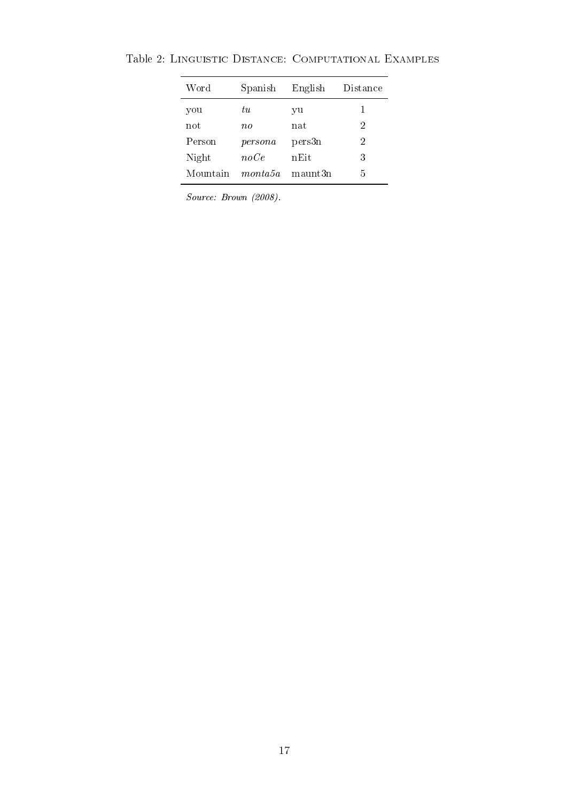| Word     | Spanish               | English | Distance |
|----------|-----------------------|---------|----------|
| you      | tи                    | уu      | 1        |
| not      | $n_{0}$               | nat     | 2        |
| Person   | persona               | pers3n  | 2        |
| Night    | noCe                  | nEit    | 3        |
| Mountain | $\n  m \n  onta 5a\n$ | maunt3n | 5        |

<span id="page-14-0"></span>Table 2: Linguistic Distance: Computational Examples

Source: Brown (2008).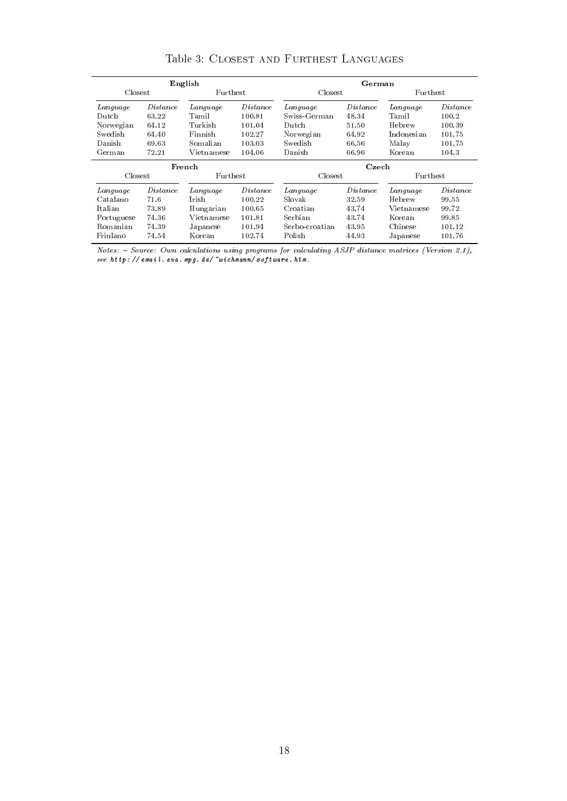<span id="page-15-0"></span>

|            |          | English         |                 |                | German          |                 |          |  |
|------------|----------|-----------------|-----------------|----------------|-----------------|-----------------|----------|--|
| Closest    |          | <b>Furthest</b> |                 | Closest        |                 | <b>Furthest</b> |          |  |
| Language   | Distance | Language        | <i>Distance</i> | Language       | <i>Distance</i> | Language        | Distance |  |
| $D$ utch   | 63.22    | Tamil           | 100.81          | Swiss-German   | 48.34           | <b>Tamil</b>    | 100.2    |  |
| Norwegian  | 64.12    | Turkish         | 101.04          | Dutch          | 51.50           | Hebrew          | 100.39   |  |
| Swedish    | 64.40    | Finnish         | 102.27          | Norwegian      | 64.92           | Indonesian      | 101.75   |  |
| Danish     | 69.63    | Somalian        | 103.03          | Swedish        | 66.56           | Malay           | 101.75   |  |
| German     | 72.21    | Vietnamese      | 104.06          | Danish         | 66.96           | Korean          | 104.3    |  |
| French     |          |                 | Czech           |                |                 |                 |          |  |
| Closest    |          | <b>Furthest</b> |                 | Closest        |                 | <b>Furthest</b> |          |  |
| Language   | Distance | Language        | Distance        | Language       | Distance        | Language        | Distance |  |
| Catalano   | 71.6     | <b>Irish</b>    | 100.22          | Slovak         | 32.59           | Hebrew          | 99.55    |  |
| Italian    | 73.89    | Hungarian       | 100.65          | Croatian       | 43.74           | Vietnamese      | 99.72    |  |
| Portuguese | 74.36    | Vietnamese      | 101.81          | Serbian        | 43.74           | Korean          | 99.85    |  |
| Romanian   | 74 39    | Japanese        | 101.94          | Serbo-croatian | 43.95           | Chinese         | 101.12   |  |
| Friulano   | 74.54    | Korean          | 102.74          | Polish         | 44.93           | Japanese        | 101.76   |  |

Table 3: Closest and Furthest Languages

 $Notes: - Source: Own calculations using programs for calculating ASJP distance matrices (Version 2.1),$ see [http: // email. eva. mpg. de/ ~wichmann/ software. htm](http://email.eva.mpg.de/~wichmann/software.htm) .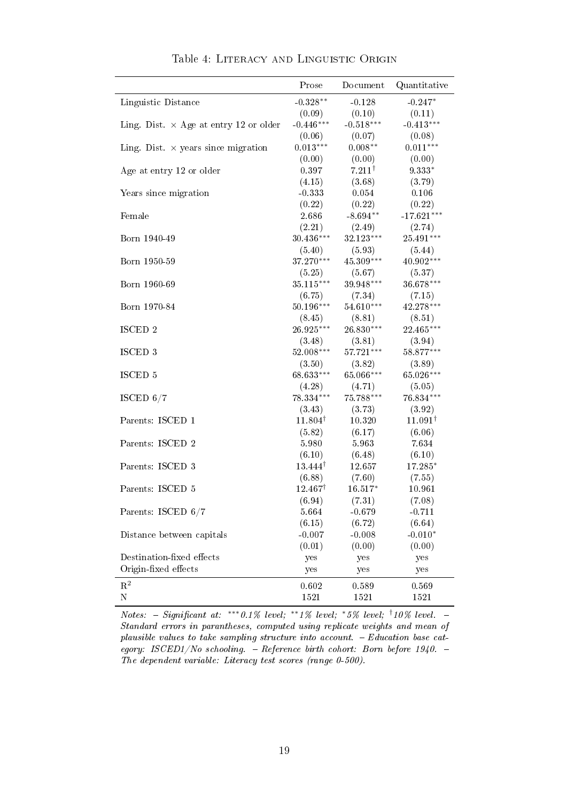<span id="page-16-0"></span>

|                                               | Prose              | Document          | Quantitative       |
|-----------------------------------------------|--------------------|-------------------|--------------------|
| Linguistic Distance                           | $-0.328**$         | $-0.128$          | $-0.247*$          |
|                                               | (0.09)             | (0.10)            | (0.11)             |
| Ling. Dist. $\times$ Age at entry 12 or older | $-0.446***$        | $-0.518***$       | $-0.413***$        |
|                                               | (0.06)             | (0.07)            | (0.08)             |
| Ling. Dist. $\times$ years since migration    | $0.013***$         | $0.008**$         | $0.011***$         |
|                                               | (0.00)             | (0.00)            | (0.00)             |
| Age at entry 12 or older                      | 0.397              | $7.211^{\dagger}$ | $9.333*$           |
|                                               | (4.15)             | (3.68)            | (3.79)             |
| Years since migration                         | $-0.333$           | 0.054             | 0.106              |
|                                               | (0.22)             | (0.22)            | (0.22)             |
| Female                                        | 2.686              | $-8.694**$        | $-17.621***$       |
|                                               | (2.21)             | (2.49)            | (2.74)             |
| Born 1940-49                                  | $30.436***$        | 32.123***         | 25.491***          |
|                                               | (5.40)             | (5.93)            | (5.44)             |
| Born 1950-59                                  | $37.270***$        | $45.309***$       | 40.902***          |
|                                               | (5.25)             | (5.67)            | (5.37)             |
| Born 1960-69                                  | $35.115***$        | $39.948***$       | 36.678***          |
|                                               | (6.75)             | (7.34)            | (7.15)             |
| Born 1970-84                                  | 50.196***          | $54.610***$       | 42.278***          |
|                                               | (8.45)             | (8.81)            | (8.51)             |
| ISCED 2                                       | 26.925***          | $26.830***$       | 22.465***          |
|                                               | (3.48)             | (3.81)            | (3.94)             |
| ISCED <sub>3</sub>                            | 52.008***          | 57.721***         | 58.877***          |
|                                               | (3.50)             | (3.82)            | (3.89)             |
| ISCED 5                                       | 68.633***          | 65.066***         | 65.026***          |
|                                               | (4.28)             | (4.71)            | (5.05)             |
| ISCED $6/7$                                   | 78.334***          | $75.788***$       | 76.834***          |
|                                               | (3.43)             | (3.73)            | (3.92)             |
| Parents: ISCED 1                              | $11.804^{\dagger}$ | $10.320\,$        | $11.091^{\dagger}$ |
|                                               | (5.82)             | (6.17)            | (6.06)             |
| Parents: ISCED 2                              | 5.980              | 5.963             | 7.634              |
|                                               | (6.10)             | (6.48)            | (6.10)             |
| Parents: ISCED 3                              | $13.444^{\dagger}$ | 12.657            | 17.285*            |
|                                               | (6.88)             | (7.60)            | (7.55)             |
| Parents: ISCED 5                              | $12.467^{\dagger}$ | $16.517*$         | 10.961             |
|                                               | (6.94)             | (7.31)            | (7.08)             |
| Parents: ISCED 6/7                            | 5.664              | $-0.679$          | $-0.711$           |
|                                               | (6.15)             | (6.72)            | (6.64)             |
| Distance between capitals                     | $-0.007$           | $-0.008$          | $-0.010*$          |
|                                               | (0.01)             | (0.00)            | (0.00)             |
| Destination-fixed effects                     | yes                | yes               | yes                |
| Origin-fixed effects                          | yes                | yes               | yes                |
| $\mathbf{R}^2$                                |                    |                   |                    |
| N                                             | 0.602<br>1521      | 0.589<br>1521     | 0.569<br>1521      |
|                                               |                    |                   |                    |

Table 4: Literacy and Linguistic Origin

 $Notes: - Significant at: **0.1\% level; **1\% level; *5\% level; \dagger 10\% level. -$ Standard errors in parantheses, computed using replicate weights and mean of plausible values to take sampling structure into account. Education base category: ISCED1/No schooling.  $-$  Reference birth cohort: Born before 1940.  $-$ The dependent variable: Literacy test scores (range 0-500).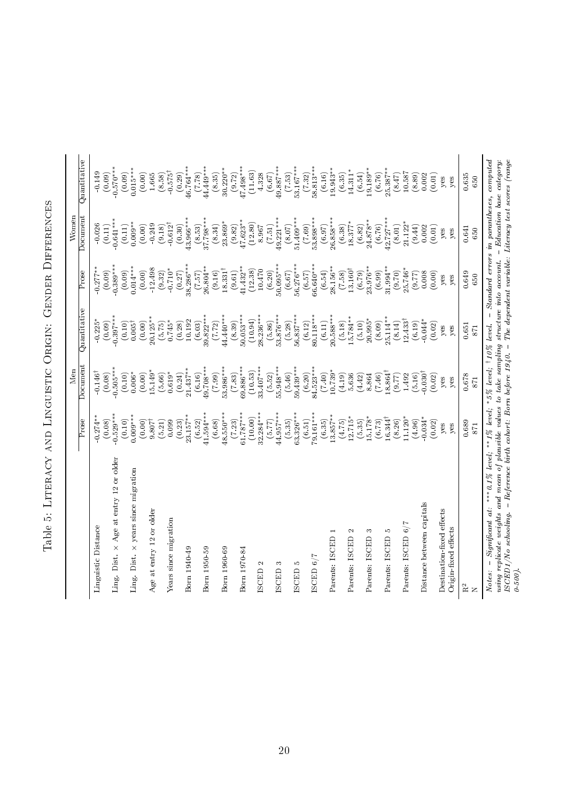<span id="page-17-0"></span>

| י<br>ו<br>ׇ֠<br>;<br>;<br>;<br>i<br>Ì<br>ļ                                                                     |  |
|----------------------------------------------------------------------------------------------------------------|--|
| $\frac{1}{2}$<br>l<br>١<br>.<br>וו<br>I<br>í                                                                   |  |
| $\frac{1}{1}$<br>$\mathbf{I}$<br>しょう<br>֚֚֬<br>j<br>I<br>ι                                                     |  |
| ししょく<br>l<br> <br> <br> <br>.<br>.<br>֖֖֖֖֖֖֖֖ׅ֖֧ׅ֖ׅ֖֧֧ׅ֖֚֚֚֚֚֚֚֚֚֚֚֚֚֚֚֚֚֚֬֝֝֓֞֝֓֞֓֡֬֓֓֞֬֓֓֞֬֓֓֞֬֓֞֓֞֬֓֞<br>Ï |  |
| $\overline{\phantom{a}}$<br>ļ<br>֖֖֖֖֖֚֚֚֚֚֚֚֚֚֬֝֓֕֓֡֬֝֓֬֝֓֬֝֬֝֬֝֓֬֝֓֬֝֓֬֝֓֬֝֓֬֝֓֬<br>ׇ֚֬֡<br>l<br>l           |  |
| $\frac{1}{2}$<br>l<br>l<br>l<br>١<br>ׇ֚֘֝֬                                                                     |  |

|                                                                                                                                                                                                                                                                                                                               |                             | Men                   |                              |                              | Women                        |                                                                              |
|-------------------------------------------------------------------------------------------------------------------------------------------------------------------------------------------------------------------------------------------------------------------------------------------------------------------------------|-----------------------------|-----------------------|------------------------------|------------------------------|------------------------------|------------------------------------------------------------------------------|
|                                                                                                                                                                                                                                                                                                                               | $\overline{\mathrm{Prose}}$ | Document              | Quantitative                 | $\overline{\mathrm{Prose}}$  | Document                     | Quantitative                                                                 |
| Linguistic Distance                                                                                                                                                                                                                                                                                                           | $0.274*$                    | 0.146                 | $0.225$ <sup>*</sup>         | $-0.277*$                    | $-0.026$                     | $-0.149$                                                                     |
| Age at entry 12 or older<br>$\times$<br>Ling. Dist.                                                                                                                                                                                                                                                                           | $0.529**$<br>(0.08)         | $0.505**$<br>(0.08)   | $0.397***$<br>(0.09)         | $0.389**$<br>(0.09)          | $0.641***$<br>(0.11)         | $0.570***$<br>(0.09)                                                         |
|                                                                                                                                                                                                                                                                                                                               | (0.10)                      | (0.10)                | (0.10)                       | (0.09)                       | (0.11)                       | (0.09)                                                                       |
| years since migration<br>$\times$<br>Ling. Dist.                                                                                                                                                                                                                                                                              | $0.009***$<br>(0.00)        | (0.00)<br>$0.006*$    | (0.00)<br>$0.005^{\dagger}$  | $0.014***$<br>(0.00)         | $0.009**$<br>(0.00)          | $0.015***$                                                                   |
| Age at entry 12 or older                                                                                                                                                                                                                                                                                                      | $9.807$ <sup>†</sup>        | 15.149*               | $20.125**$                   | $-12.498$                    | $-0.249$                     | $(0.00)$<br>1.665                                                            |
|                                                                                                                                                                                                                                                                                                                               | (5.21)                      | (5.66)                | (5.75)                       | (9.32)                       | (9.18)                       | $(8.58)$<br>$0.575^{\dagger}$                                                |
| Years since migration                                                                                                                                                                                                                                                                                                         | (0.23)<br>0.099             | $0.619*$<br>(0.24)    | $0.745*$<br>(0.28)           | $-0.710*$<br>(0.27)          | $-0.612^{\dagger}$<br>(0.30) |                                                                              |
| Born 1940-49                                                                                                                                                                                                                                                                                                                  | $23.157***$                 | $21.437**$            | 10.192                       | $8.286***$                   | 13.966***                    | $(0.29)$<br>46.764***                                                        |
| Born 1950-59                                                                                                                                                                                                                                                                                                                  | $41.594***$<br>(6.52)       | 49.708***<br>(6.16)   | $39.822***$<br>(6.03)        | $26.804**$<br>(7.57)         | $37.798***$<br>(8.53)        | 44.449****<br>(7.78)                                                         |
|                                                                                                                                                                                                                                                                                                                               | (6.68)                      | (7.99)                | (7.72)                       | (9.16)                       | (8.34)                       | (8.35)                                                                       |
| Born 1960-69                                                                                                                                                                                                                                                                                                                  | $18.550***$                 | 53.986***             | $44.440***$                  | $18.331^{\dagger}$           | $23.869*$                    | $30.220***$                                                                  |
| Born 1970-84                                                                                                                                                                                                                                                                                                                  | $51.787***$<br>(7.23)       | $69.886***$<br>(7.83) | $50.053***$<br>(8.39)        | $41.432**$<br>(9.61)         | $(9.82)$<br>47.623**         | $47.498***$<br>(9.72)                                                        |
|                                                                                                                                                                                                                                                                                                                               | (10.00)                     | (10.53)               | (10.94)                      | (12.38)                      | (12.80)                      | (11.63)                                                                      |
| $\mathbf{\sim}$<br><b>ISCED</b>                                                                                                                                                                                                                                                                                               | $32.284***$<br>(5.77)       | 33.407**<br>(5.52)    | $28.236***$                  | $10.470\,$<br>(6.20)         | (7.51)<br>8.967              | 4.328<br>(6.67)                                                              |
| S<br><b>ISCED</b>                                                                                                                                                                                                                                                                                                             | 44.957**                    | 55.948**              | $(5.86)$<br>53.876***        | 50.095**                     | $49.221**$                   | $49.887***$                                                                  |
|                                                                                                                                                                                                                                                                                                                               | (5.35)                      | (5.46)                | (5.28)                       | (6.67)                       | (8.07)                       | (7.53)                                                                       |
| r.<br><b>ISCED</b>                                                                                                                                                                                                                                                                                                            | $63.326***$<br>(6.51)       | $59.439***$<br>(6.20) | $56.837***$<br>(6.12)        | $56.276***$<br>(6.57)        | 51.409**                     | 53.167***<br>(7.32)                                                          |
| ISCED $6/7$                                                                                                                                                                                                                                                                                                                   | 79.161***                   | 84.523***             | $80.118***$                  | $56.640***$                  | $(7.69)$<br>53.898***        | 58.813***                                                                    |
|                                                                                                                                                                                                                                                                                                                               | (6.35)                      | $(0 + 7)$             | (6.11)                       | (6.54)                       | (6.97)                       | (6.16)                                                                       |
| Parents: ISCED 1                                                                                                                                                                                                                                                                                                              | $13.857***$<br>(4.75)       | $10.739*$<br>(4.19)   | $20.588***$                  | 28.156**                     | $26.858***$                  | $19.943***$                                                                  |
| $\mathbf{\sim}$<br>Parents: ISCED                                                                                                                                                                                                                                                                                             | $12.715*$                   | 5.636                 | $15.784**$<br>(5.18)         | $13.160^{\dagger}$<br>(7.58) | $18.377*$<br>(6.38)          | $14.311*$<br>(6.35)                                                          |
|                                                                                                                                                                                                                                                                                                                               | (5.35)                      | (4.42)                | (5.10)                       | (6.79)                       | (6.82)                       | (6.54)                                                                       |
| S<br>Parents: ISCED                                                                                                                                                                                                                                                                                                           | 15.178*<br>(6.73)           | 8.864<br>(7.46)       | $20.995*$<br>(8.09)          | 23.976**<br>(6.99)           | $24.878***$<br>(6.76)        | $19.189***$<br>(6.76)                                                        |
| Parents: ISCED 5                                                                                                                                                                                                                                                                                                              | $16.344^{\dagger}$          | $18.864^{\dagger}$    | $25.114**$                   | $31.994***$                  | $12.727***$                  | $25.387***$                                                                  |
| Parents: ISCED 6/7                                                                                                                                                                                                                                                                                                            | $11.120*$<br>(8.26)         | (77.6)<br>1.492       | $12.433^{\dagger}$<br>(8.14) | 25.746*<br>(0.70)            | 21.122<br>(8.01)             | 10.587<br>(8.47)                                                             |
|                                                                                                                                                                                                                                                                                                                               | (4.96)                      | (5.16)                | (6.19)                       | (5.77)                       | (9.44)                       | (8.89)                                                                       |
| Distance between capitals                                                                                                                                                                                                                                                                                                     | $-0.034*$                   | $-0.030^{\dagger}$    | $0.044*$                     | 0.008                        | 0.002                        | 0.002                                                                        |
| Destination-fixed effects                                                                                                                                                                                                                                                                                                     | (0.02)<br>yes               | (0.02)<br>yes         | (0.02)<br>yes                | (0.00)<br>yes                | (0.01)<br>yes                | (0.01)<br>yes                                                                |
| Origin-fixed effects                                                                                                                                                                                                                                                                                                          | yes                         | yes                   | yes                          | yes                          | yes                          | yes                                                                          |
| $\rm R^2$                                                                                                                                                                                                                                                                                                                     | 0.689                       | 0.678                 | 0.651                        | 0.649                        | 0.641                        | 0.635                                                                        |
| $\mathsf{Z}$                                                                                                                                                                                                                                                                                                                  | 871                         | 871                   | 871                          | 650                          | 650                          | 650                                                                          |
| - Reference birth cohort: Born before $1940.$ - The dependent variable: Literacy test scores (range<br>using replicate weights and mean of plausible values to take sampling structure into account.<br>- Significant at: *** 0.1% level; **1% level; *5% level; $\frac{10\%}{10\%}$ level.<br>ISCED1/No schooling.<br>Notes: |                             |                       |                              |                              |                              | $-$ Standard errors in parantheses, computed<br>$-$ Education base category: |
| $0.500$ .                                                                                                                                                                                                                                                                                                                     |                             |                       |                              |                              |                              |                                                                              |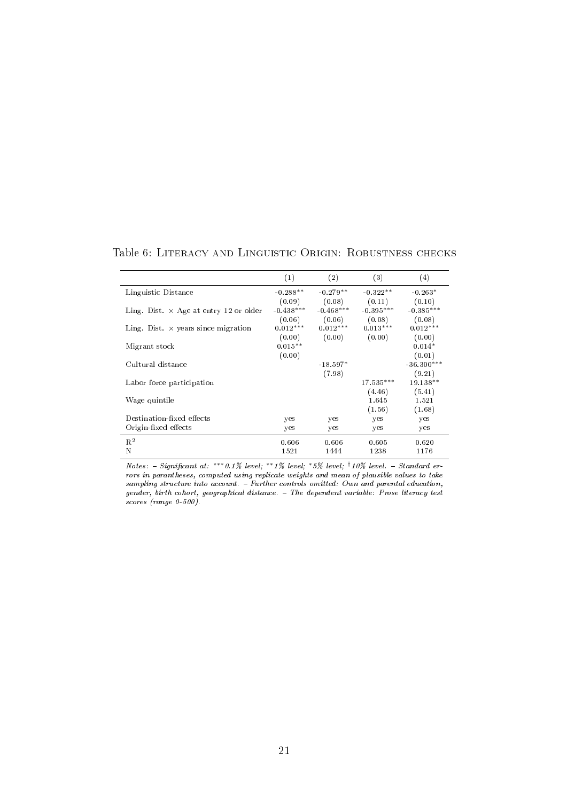<span id="page-18-0"></span>Table 6: Literacy and Linguistic Origin: Robustness checks

|                                              | (1)         | (2)         | (3)         | (4)          |
|----------------------------------------------|-------------|-------------|-------------|--------------|
| Linguistic Distance                          | $-0.288**$  | $-0.279**$  | $-0.322**$  | $-0.263*$    |
|                                              | (0.09)      | (0.08)      | (0.11)      | (0.10)       |
| Ling. Dist $\times$ Age at entry 12 or older | $-0.438***$ | $-0.468***$ | $-0.395***$ | $-0.385***$  |
|                                              | (0.06)      | (0.06)      | (0.08)      | (0.08)       |
| Ling. Dist $\times$ years since migration    | $0.012***$  | $0.012***$  | $0.013***$  | $0.012***$   |
|                                              | (0.00)      | (0.00)      | (0.00)      | (0.00)       |
| Migrant stock                                | $0.015**$   |             |             | $0.014*$     |
|                                              | (0.00)      |             |             | (0.01)       |
| Cultural distance                            |             | $-18.597*$  |             | $-36.300***$ |
|                                              |             | (7.98)      |             | (9.21)       |
| Labor force participation                    |             |             | $17.535***$ | $19.138**$   |
|                                              |             |             | (4.46)      | (5.41)       |
| Wage quintile                                |             |             | 1.645       | 1.521        |
|                                              |             |             | (1.56)      | (1.68)       |
| Destination-fixed effects                    | yes         | yes         | yes         | yes          |
| Origin-fixed effects                         | yes         | yes         | yes         | yes          |
| $R^2$                                        | 0.606       | 0.606       | 0.605       | 0.620        |
| N                                            | 1521        | 1444        | 1238        | 1176         |

Notes:  $-$  Significant at: \*\*\* 0.1% level; \*\*1% level; \*5% level;  $\frac{1}{10\%}$  level.  $-$  Standard errors in parantheses, computed using replicate weights and mean of plausible values to take sampling structure into account. - Further controls omitted: Own and parental education, gender, birth cohort, geographical distance. The dependent variable: Prose literacy test scores (range 0-500).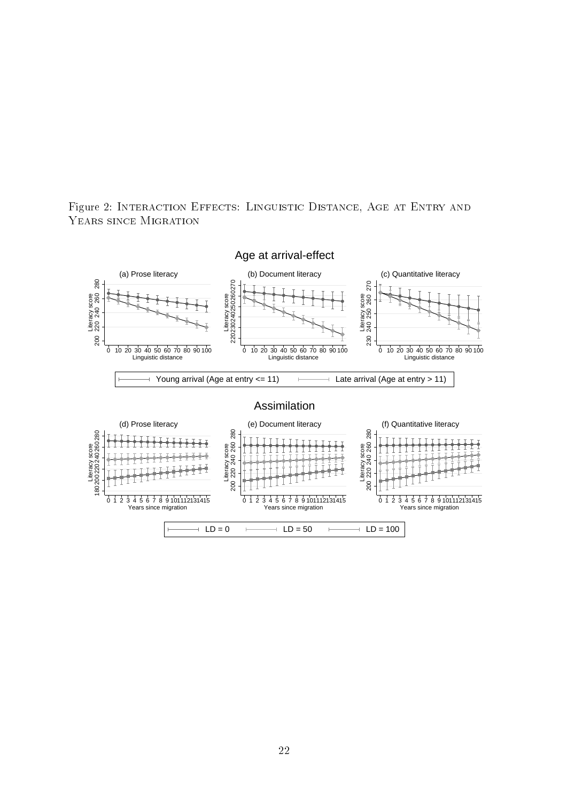

<span id="page-19-0"></span>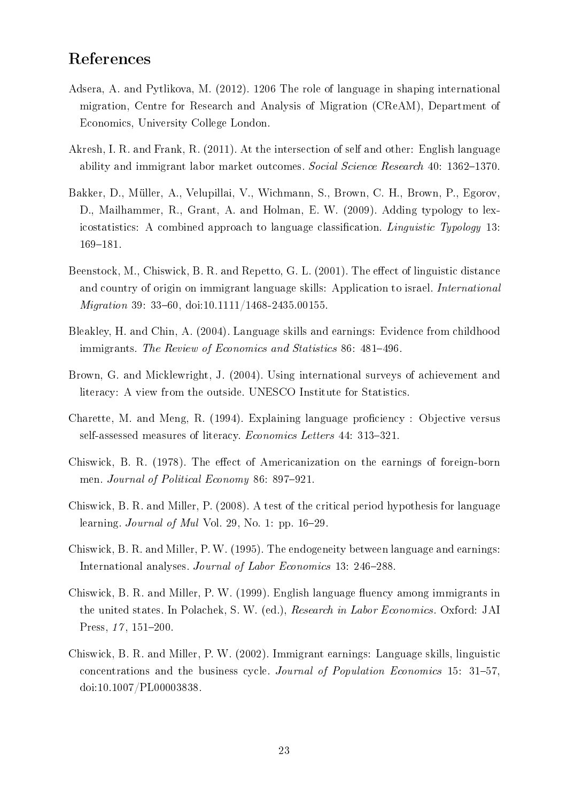## References

- <span id="page-20-7"></span>Adsera, A. and Pytlikova, M. (2012). 1206 The role of language in shaping international migration, Centre for Research and Analysis of Migration (CReAM), Department of Economics, University College London.
- <span id="page-20-4"></span>Akresh, I. R. and Frank, R. (2011). At the intersection of self and other: English language ability and immigrant labor market outcomes. Social Science Research 40: 1362–1370.
- <span id="page-20-6"></span>Bakker, D., Müller, A., Velupillai, V., Wichmann, S., Brown, C. H., Brown, P., Egorov, D., Mailhammer, R., Grant, A. and Holman, E. W. (2009). Adding typology to lexicostatistics: A combined approach to language classification. *Linguistic Typology* 13: 169-181.
- <span id="page-20-3"></span>Beenstock, M., Chiswick, B. R. and Repetto, G. L.  $(2001)$ . The effect of linguistic distance and country of origin on immigrant language skills: Application to israel. *International Migration* 39: 33-60, doi:10.1111/1468-2435.00155.
- <span id="page-20-11"></span>Bleakley, H. and Chin, A. (2004). Language skills and earnings: Evidence from childhood immigrants. The Review of Economics and Statistics 86: 481–496.
- <span id="page-20-5"></span>Brown, G. and Micklewright, J. (2004). Using international surveys of achievement and literacy: A view from the outside. UNESCO Institute for Statistics.
- <span id="page-20-0"></span>Charette, M. and Meng, R. (1994). Explaining language proficiency : Objective versus self-assessed measures of literacy. Economics Letters 44: 313-321.
- <span id="page-20-9"></span>Chiswick, B. R. (1978). The effect of Americanization on the earnings of foreign-born men. Journal of Political Economy 86: 897-921.
- <span id="page-20-8"></span>Chiswick, B. R. and Miller, P. (2008). A test of the critical period hypothesis for language learning. *Journal of Mul* Vol. 29, No. 1: pp.  $16-29$ .
- <span id="page-20-1"></span>Chiswick, B. R. and Miller, P. W. (1995). The endogeneity between language and earnings: International analyses. Journal of Labor Economics 13: 246-288.
- <span id="page-20-2"></span>Chiswick, B. R. and Miller, P. W. (1999). English language fluency among immigrants in the united states. In Polachek, S. W. (ed.), Research in Labor Economics. Oxford: JAI Press,  $17, 151-200$ .
- <span id="page-20-10"></span>Chiswick, B. R. and Miller, P. W. (2002). Immigrant earnings: Language skills, linguistic concentrations and the business cycle. Journal of Population Economics 15: 31-57, doi:10.1007/PL00003838.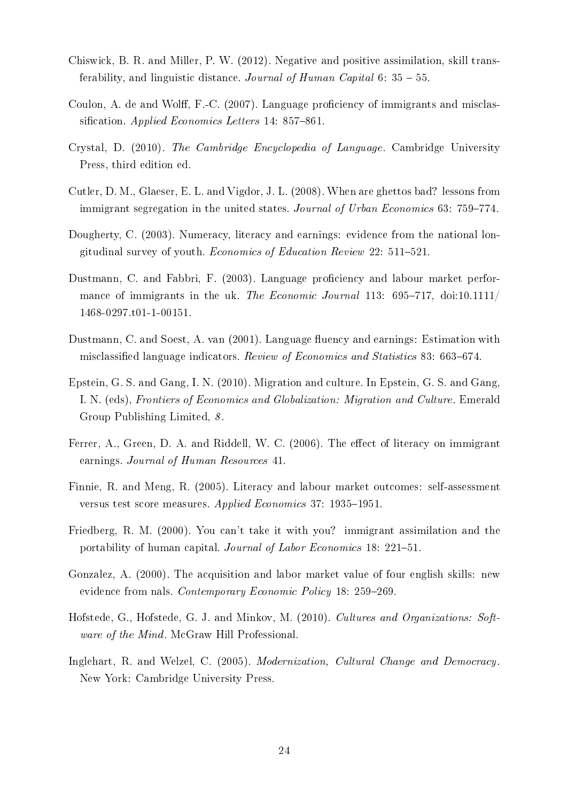- <span id="page-21-12"></span>Chiswick, B. R. and Miller, P. W. (2012). Negative and positive assimilation, skill transferability, and linguistic distance. Journal of Human Capital 6:  $35 - 55$ .
- <span id="page-21-7"></span>Coulon, A. de and Wolff, F.-C.  $(2007)$ . Language proficiency of immigrants and misclassification. Applied Economics Letters  $14: 857-861$ .
- <span id="page-21-0"></span>Crystal, D. (2010). The Cambridge Encyclopedia of Language. Cambridge University Press, third edition ed.
- <span id="page-21-9"></span>Cutler, D. M., Glaeser, E. L. and Vigdor, J. L. (2008). When are ghettos bad? lessons from immigrant segregation in the united states. Journal of Urban Economics  $63: 759-774$ .
- <span id="page-21-2"></span>Dougherty, C. (2003). Numeracy, literacy and earnings: evidence from the national longitudinal survey of youth. Economics of Education Review  $22: 511-521$ .
- <span id="page-21-8"></span>Dustmann, C. and Fabbri, F. (2003). Language proficiency and labour market performance of immigrants in the uk. The Economic Journal 113:  $695-717$ , doi:10.1111/ 1468-0297.t01-1-00151.
- <span id="page-21-6"></span>Dustmann, C. and Soest, A. van (2001). Language fluency and earnings: Estimation with misclassified language indicators. Review of Economics and Statistics 83: 663–674.
- <span id="page-21-13"></span>Epstein, G. S. and Gang, I. N. (2010). Migration and culture. In Epstein, G. S. and Gang, I. N. (eds), Frontiers of Economics and Globalization: Migration and Culture. Emerald Group Publishing Limited, 8 .
- <span id="page-21-4"></span>Ferrer, A., Green, D. A. and Riddell, W. C. (2006). The effect of literacy on immigrant earnings. Journal of Human Resources 41.
- <span id="page-21-1"></span>Finnie, R. and Meng, R. (2005). Literacy and labour market outcomes: self-assessment versus test score measures. Applied Economics 37: 1935-1951.
- <span id="page-21-5"></span>Friedberg, R. M. (2000). You can't take it with you? immigrant assimilation and the portability of human capital. Journal of Labor Economics 18: 221–51.
- <span id="page-21-3"></span>Gonzalez, A. (2000). The acquisition and labor market value of four english skills: new evidence from nals. Contemporary Economic Policy 18: 259-269.
- <span id="page-21-10"></span>Hofstede, G., Hofstede, G. J. and Minkov, M. (2010). Cultures and Organizations: Software of the Mind. McGraw Hill Professional.
- <span id="page-21-11"></span>Inglehart, R. and Welzel, C. (2005). Modernization, Cultural Change and Democracy. New York: Cambridge University Press.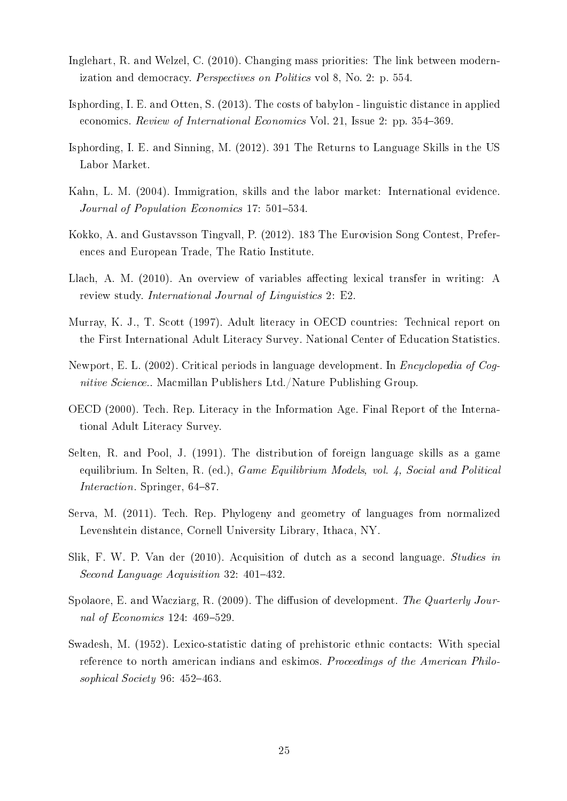- <span id="page-22-12"></span>Inglehart, R. and Welzel, C. (2010). Changing mass priorities: The link between modernization and democracy. Perspectives on Politics vol 8, No. 2: p. 554.
- <span id="page-22-6"></span>Isphording, I. E. and Otten, S. (2013). The costs of babylon - linguistic distance in applied economics. Review of International Economics Vol. 21, Issue 2: pp. 354–369.
- <span id="page-22-13"></span>Isphording, I. E. and Sinning, M. (2012). 391 The Returns to Language Skills in the US Labor Market.
- <span id="page-22-1"></span>Kahn, L. M. (2004). Immigration, skills and the labor market: International evidence. Journal of Population Economics 17: 501–534.
- <span id="page-22-11"></span>Kokko, A. and Gustavsson Tingvall, P. (2012). 183 The Eurovision Song Contest, Preferences and European Trade, The Ratio Institute.
- <span id="page-22-3"></span>Llach, A. M.  $(2010)$ . An overview of variables affecting lexical transfer in writing: A review study. International Journal of Linguistics 2: E2.
- <span id="page-22-5"></span>Murray, K. J., T. Scott (1997). Adult literacy in OECD countries: Technical report on the First International Adult Literacy Survey. National Center of Education Statistics.
- <span id="page-22-9"></span>Newport, E. L. (2002). Critical periods in language development. In Encyclopedia of Cognitive Science.. Macmillan Publishers Ltd./Nature Publishing Group.
- <span id="page-22-0"></span>OECD (2000). Tech. Rep. Literacy in the Information Age. Final Report of the International Adult Literacy Survey.
- <span id="page-22-2"></span>Selten, R. and Pool, J. (1991). The distribution of foreign language skills as a game equilibrium. In Selten, R. (ed.), *Game Equilibrium Models, vol. 4, Social and Political* Interaction. Springer, 64-87.
- <span id="page-22-7"></span>Serva, M. (2011). Tech. Rep. Phylogeny and geometry of languages from normalized Levenshtein distance, Cornell University Library, Ithaca, NY.
- <span id="page-22-4"></span>Slik, F. W. P. Van der (2010). Acquisition of dutch as a second language. Studies in Second Language Acquisition 32: 401-432.
- <span id="page-22-10"></span>Spolaore, E. and Wacziarg, R. (2009). The diffusion of development. The Quarterly Journal of Economics  $124: 469-529$ .
- <span id="page-22-8"></span>Swadesh, M. (1952). Lexico-statistic dating of prehistoric ethnic contacts: With special reference to north american indians and eskimos. Proceedings of the American Philosophical Society 96:  $452-463$ .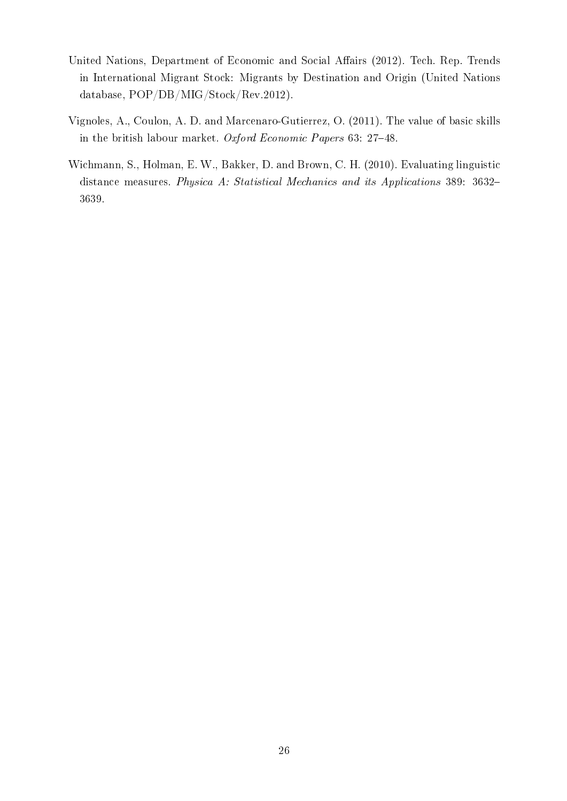- <span id="page-23-2"></span>United Nations, Department of Economic and Social Affairs (2012). Tech. Rep. Trends in International Migrant Stock: Migrants by Destination and Origin (United Nations database, POP/DB/MIG/Stock/Rev.2012).
- <span id="page-23-0"></span>Vignoles, A., Coulon, A. D. and Marcenaro-Gutierrez, O. (2011). The value of basic skills in the british labour market. Oxford Economic Papers  $63: 27-48$ .
- <span id="page-23-1"></span>Wichmann, S., Holman, E. W., Bakker, D. and Brown, C. H. (2010). Evaluating linguistic distance measures. Physica A: Statistical Mechanics and its Applications 389: 3632 3639.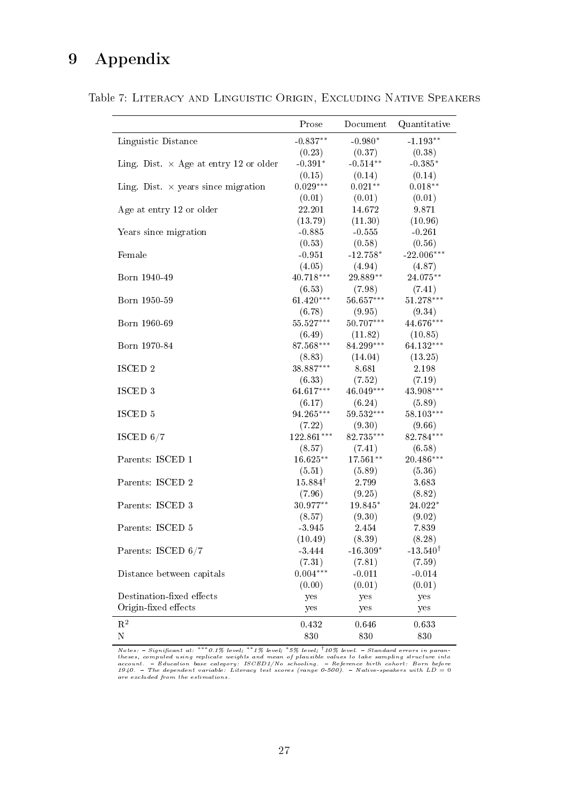# 9 Appendix

<span id="page-24-0"></span>

|  |  | Table 7: LITERACY AND LINGUISTIC ORIGIN, EXCLUDING NATIVE SPEAKERS |  |
|--|--|--------------------------------------------------------------------|--|
|  |  |                                                                    |  |

|                                               | Prose              | Document                | Quantitative        |
|-----------------------------------------------|--------------------|-------------------------|---------------------|
| Linguistic Distance                           | $-0.837**$         | $-0.980*$               | $-1.193**$          |
|                                               | (0.23)             | (0.37)                  | (0.38)              |
| Ling. Dist. $\times$ Age at entry 12 or older | $-0.391*$          | $-0.514**$              | $-0.385*$           |
|                                               | (0.15)             | (0.14)                  | (0.14)              |
| Ling. Dist. $\times$ years since migration    | $0.029***$         | $0.021**$               | $0.018**$           |
|                                               | (0.01)             | (0.01)                  | (0.01)              |
| Age at entry 12 or older                      | 22.201             | 14.672                  | 9.871               |
|                                               | (13.79)            | (11.30)                 | (10.96)             |
| Years since migration                         | $-0.885$           | $-0.555$                | $-0.261$            |
|                                               | (0.53)             | (0.58)                  | (0.56)              |
| Female                                        | $-0.951$           | $-12.758*$              | $-22.006***$        |
|                                               | (4.05)             | (4.94)                  | (4.87)              |
| Born 1940-49                                  | 40.718***          | 29.889**                | 24.075**            |
|                                               | (6.53)             | (7.98)                  | (7.41)              |
| Born 1950-59                                  | $61.420***$        | $56.657***$             | $51.278***$         |
|                                               | (6.78)             | (9.95)                  | (9.34)              |
| Born 1960-69                                  | 55.527***          | $50.707***$             | 44.676***           |
|                                               | (6.49)             | (11.82)                 | (10.85)             |
| Born 1970-84                                  | 87.568***          | 84.299***               | 64.132***           |
|                                               | (8.83)             | (14.04)                 | (13.25)             |
| ISCED 2                                       | 38.887***          | 8.681                   | 2.198               |
|                                               | (6.33)             | (7.52)                  | (7.19)              |
| ISCED 3                                       | 64.617***          | $46.049***$             | 43.908***           |
|                                               | (6.17)             | (6.24)                  | (5.89)              |
| $\rm ISCLD$ $5$                               | 94.265***          | $59.532^{\ast\ast\ast}$ | $58.103***$         |
|                                               | (7.22)             | (9.30)                  | (9.66)              |
| ISCED $6/7$                                   | 122.861***         | 82.735***               | 82.784***           |
|                                               | (8.57)             | (7.41)                  | (6.58)              |
| Parents: ISCED 1                              | 16.625**           | $17.561**$              | 20.486***           |
|                                               | (5.51)             | (5.89)                  | (5.36)              |
| Parents: ISCED 2                              | $15.884^{\dagger}$ | 2.799                   | 3.683               |
|                                               | (7.96)             | (9.25)                  | (8.82)              |
| Parents: ISCED 3                              | 30.977**           | 19.845*                 | 24.022*             |
|                                               | (8.57)             | (9.30)                  | (9.02)              |
| Parents: ISCED 5                              | $-3.945$           | 2.454                   | 7.839               |
|                                               | (10.49)            | (8.39)                  | (8.28)              |
| Parents: ISCED 6/7                            | $-3.444$           | $-16.309*$              | $-13.540^{\dagger}$ |
|                                               | (7.31)             | (7.81)                  | (7.59)              |
| Distance between capitals                     | $0.004***$         | $-0.011$                | $-0.014$            |
|                                               | (0.00)             | (0.01)                  | (0.01)              |
| Destination-fixed effects                     | yes                | yes                     | yes                 |
| Origin-fixed effects                          | yes                | yes                     | yes                 |
| $\mathbf{R}^2$                                | 0.432              | 0.646                   | 0.633               |
| ${\rm N}$                                     | 830                | 830                     | 830                 |

Notes:  $-$  Significant at: \*\*\* 0.1% level; \*\*1% level; \*5% level; †10% level.  $-$  Standard errors in parantheses, computed using replicate weights and mean of plausible values to take sampling structure into<br>account.  $-$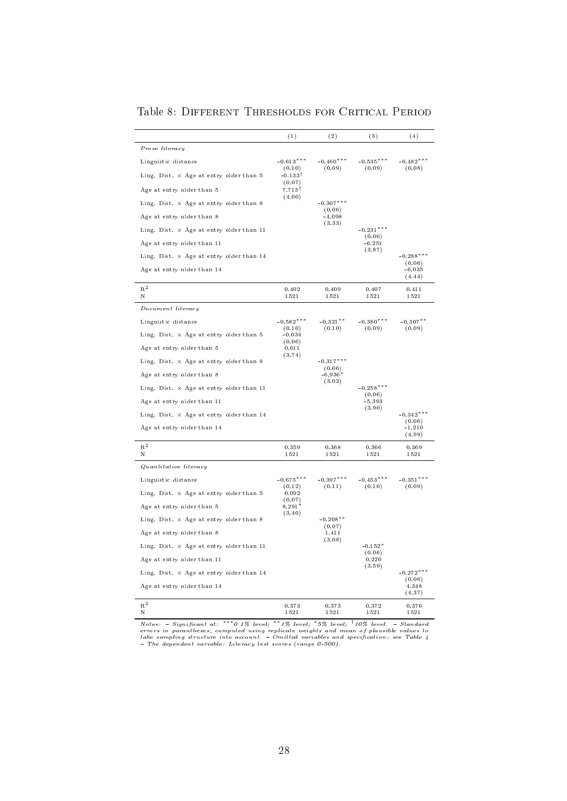<span id="page-25-0"></span>

|                                                 | (1)                            | $^{(2)}$              | (3)                   | (4)                   |
|-------------------------------------------------|--------------------------------|-----------------------|-----------------------|-----------------------|
| Prose literacy                                  |                                |                       |                       |                       |
| Linguistic distance                             | $-0.613***$<br>(0.10)          | $-0.460***$<br>(0.09) | $-0.535***$<br>(0.09) | $-0.482***$<br>(0.08) |
| Ling. Dist. $\times$ Age at entry older than 5  | $-0.133^{\dagger}$<br>(0.07)   |                       |                       |                       |
| Age at entry older than 5                       | $7.713$ <sup>†</sup><br>(4.00) |                       |                       |                       |
| Ling. Dist. $\times$ Age at entry older than 8  |                                | $-0.307***$<br>(0.06) |                       |                       |
| Age at entry older than 8                       |                                | $-4.098$<br>(3.33)    |                       |                       |
| Ling. Dist. $\times$ Age at entry older than 11 |                                |                       | $-0.231***$<br>(0.06) |                       |
| Age at entry older than 11                      |                                |                       | $-6.251$<br>(3.87)    |                       |
| Ling. Dist. $\times$ Age at entry older than 14 |                                |                       |                       | $-0.288***$<br>(0.06) |
| Age at entry older than 14                      |                                |                       |                       | $-6.035$<br>(4.44)    |
| $R^2$<br>Ν                                      | 0.402<br>1521                  | 0.409<br>1521         | 0.407<br>1521         | 0.411<br>1521         |
| Document literacy                               |                                |                       |                       |                       |
| Linguistic distance                             | $-0.582***$                    | $-0.321**$            | $-0.380***$           | $-0.307**$            |
| Ling. Dist. $\times$ Age at entry older than 5  | (0.10)<br>$-0.034$             | (0.10)                | (0.09)                | (0.09)                |
| Age at entry older than 5                       | (0.06)<br>0.611                |                       |                       |                       |
| Ling. Dist. $\times$ Age at entry older than 8  | (3.74)                         | $-0.317***$           |                       |                       |
| Age at entry older than 8                       |                                | (0.06)<br>$-6.936*$   |                       |                       |
| Ling. Dist. $\times$ Age at entry older than 11 |                                | (3.02)                | $-0.258***$<br>(0.06) |                       |
| Age at entry older than 11                      |                                |                       | $-5.393$<br>(3.90)    |                       |
| Ling. Dist. $\times$ Age at entry older than 14 |                                |                       |                       | $-0.342***$<br>(0.06) |
| Age at entry older than 14                      |                                |                       |                       | $-1.210$<br>(4.99)    |
| $R^2$<br>Ν                                      | 0.359<br>1521                  | 0.368<br>1521         | 0.366<br>1521         | 0.369<br>1521         |
| Quantitative literacy                           |                                |                       |                       |                       |
| Linguistic distance                             | $-0.675***$                    | $-0.397***$           | $-0.453***$           | $-0.351***$           |
| Ling. Dist. $\times$ Age at entry older than 5  | (0.12)<br>0.092                | (0.11)                | (0.10)                | (0.09)                |
| Age at entry older than 5                       | (0.07)<br>8.291*               |                       |                       |                       |
| Ling. Dist. $\times$ Age at entry older than 8  | (3.40)                         | $-0.208**$            |                       |                       |
| Age at entry older than 8                       |                                | (0.07)<br>1.411       |                       |                       |
| Ling. Dist. $\times$ Age at entry older than 11 |                                | (3.08)                | $-0.152*$<br>(0.06)   |                       |
| Age at entry older than 11                      |                                |                       | 0.220<br>(3.59)       |                       |
| Ling. Dist. $\times$ Age at entry older than 14 |                                |                       |                       | $-0.272***$<br>(0.06) |
| Age at entry older than 14                      |                                |                       |                       | 4.348<br>(4.37)       |
| $\mathbf{R}^2$<br>N                             | 0.373<br>1521                  | 0.373<br>1521         | 0.372<br>1521         | 0.376<br>1521         |

Table 8: Different Thresholds for Critical Period

Notes:  $-$  Significant at: \*\*\* 0.1% level; \*\*1% level; \*5% level;  $\frac{1}{10\%}$  level.  $-$  Standard errors in parantheses, computed using replicate weights and mean of plausible values to the sampling structure into accoun